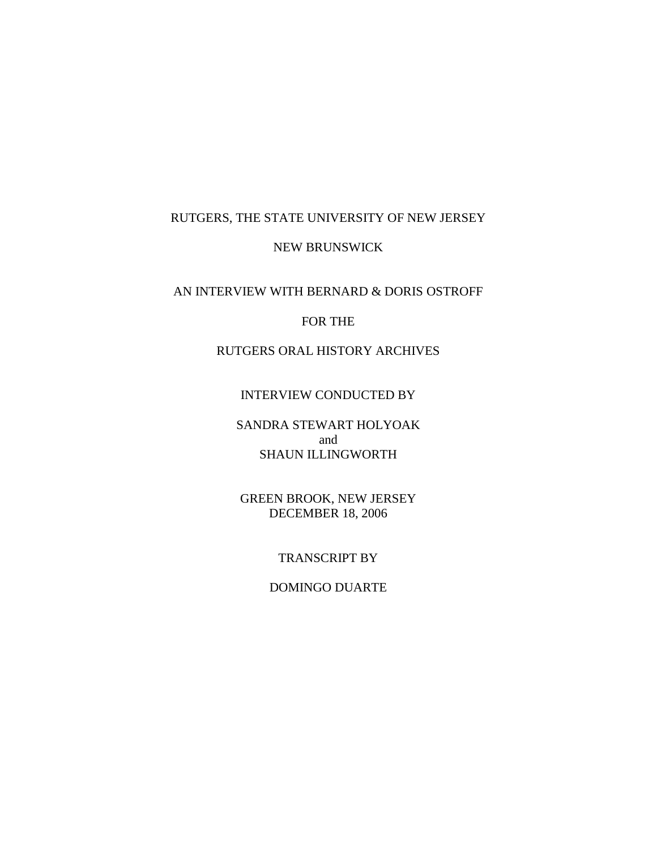# RUTGERS, THE STATE UNIVERSITY OF NEW JERSEY

#### NEW BRUNSWICK

#### AN INTERVIEW WITH BERNARD & DORIS OSTROFF

#### FOR THE

# RUTGERS ORAL HISTORY ARCHIVES

#### INTERVIEW CONDUCTED BY

### SANDRA STEWART HOLYOAK and SHAUN ILLINGWORTH

#### GREEN BROOK, NEW JERSEY DECEMBER 18, 2006

#### TRANSCRIPT BY

#### DOMINGO DUARTE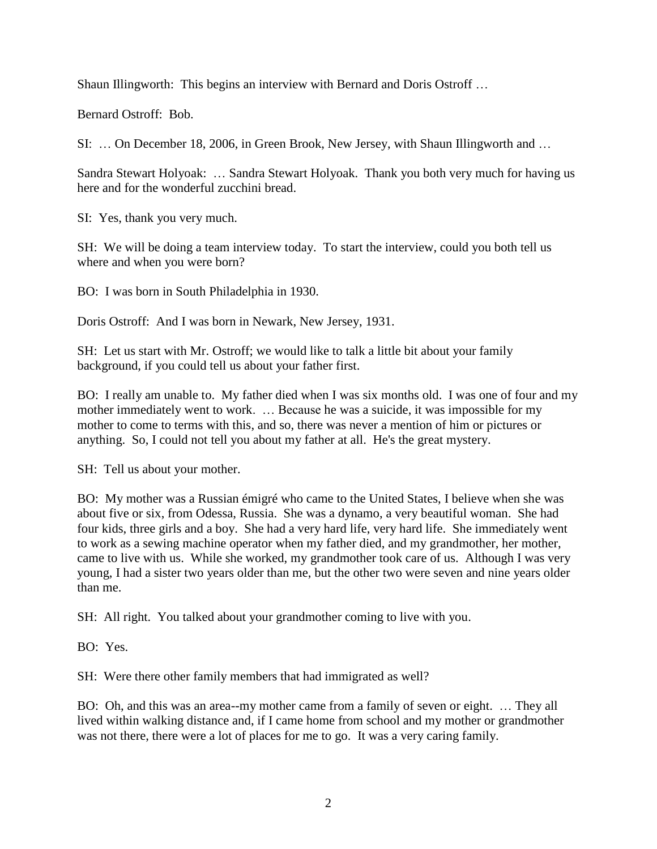Shaun Illingworth: This begins an interview with Bernard and Doris Ostroff …

Bernard Ostroff: Bob.

SI: … On December 18, 2006, in Green Brook, New Jersey, with Shaun Illingworth and …

Sandra Stewart Holyoak: … Sandra Stewart Holyoak. Thank you both very much for having us here and for the wonderful zucchini bread.

SI: Yes, thank you very much.

SH: We will be doing a team interview today. To start the interview, could you both tell us where and when you were born?

BO: I was born in South Philadelphia in 1930.

Doris Ostroff: And I was born in Newark, New Jersey, 1931.

SH: Let us start with Mr. Ostroff; we would like to talk a little bit about your family background, if you could tell us about your father first.

BO: I really am unable to. My father died when I was six months old. I was one of four and my mother immediately went to work. … Because he was a suicide, it was impossible for my mother to come to terms with this, and so, there was never a mention of him or pictures or anything. So, I could not tell you about my father at all. He's the great mystery.

SH: Tell us about your mother.

BO: My mother was a Russian émigré who came to the United States, I believe when she was about five or six, from Odessa, Russia. She was a dynamo, a very beautiful woman. She had four kids, three girls and a boy. She had a very hard life, very hard life. She immediately went to work as a sewing machine operator when my father died, and my grandmother, her mother, came to live with us. While she worked, my grandmother took care of us. Although I was very young, I had a sister two years older than me, but the other two were seven and nine years older than me.

SH: All right. You talked about your grandmother coming to live with you.

BO: Yes.

SH: Were there other family members that had immigrated as well?

BO: Oh, and this was an area--my mother came from a family of seven or eight. … They all lived within walking distance and, if I came home from school and my mother or grandmother was not there, there were a lot of places for me to go. It was a very caring family.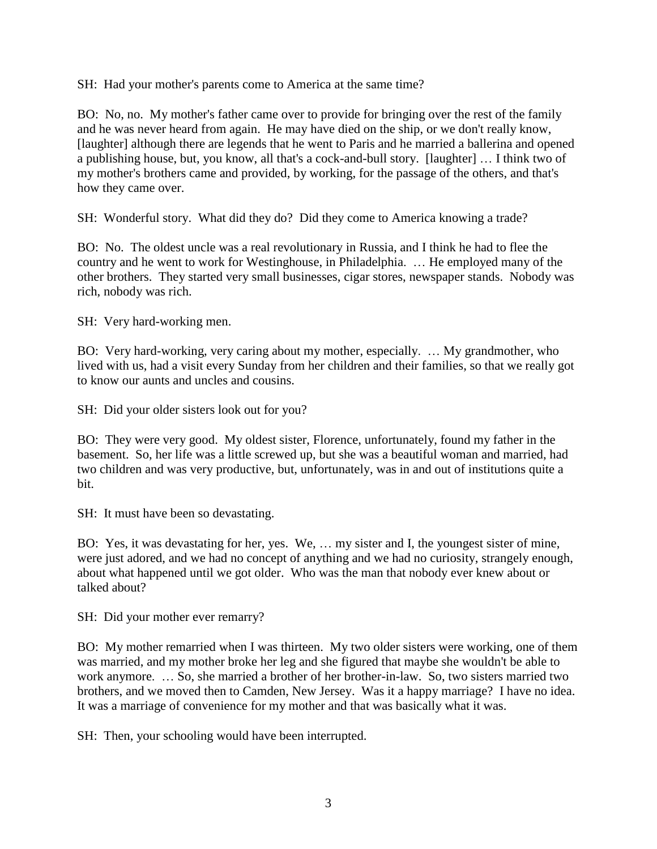SH: Had your mother's parents come to America at the same time?

BO: No, no. My mother's father came over to provide for bringing over the rest of the family and he was never heard from again. He may have died on the ship, or we don't really know, [laughter] although there are legends that he went to Paris and he married a ballerina and opened a publishing house, but, you know, all that's a cock-and-bull story. [laughter] … I think two of my mother's brothers came and provided, by working, for the passage of the others, and that's how they came over.

SH: Wonderful story. What did they do? Did they come to America knowing a trade?

BO: No. The oldest uncle was a real revolutionary in Russia, and I think he had to flee the country and he went to work for Westinghouse, in Philadelphia. … He employed many of the other brothers. They started very small businesses, cigar stores, newspaper stands. Nobody was rich, nobody was rich.

SH: Very hard-working men.

BO: Very hard-working, very caring about my mother, especially. … My grandmother, who lived with us, had a visit every Sunday from her children and their families, so that we really got to know our aunts and uncles and cousins.

SH: Did your older sisters look out for you?

BO: They were very good. My oldest sister, Florence, unfortunately, found my father in the basement. So, her life was a little screwed up, but she was a beautiful woman and married, had two children and was very productive, but, unfortunately, was in and out of institutions quite a bit.

SH: It must have been so devastating.

BO: Yes, it was devastating for her, yes. We, … my sister and I, the youngest sister of mine, were just adored, and we had no concept of anything and we had no curiosity, strangely enough, about what happened until we got older. Who was the man that nobody ever knew about or talked about?

SH: Did your mother ever remarry?

BO: My mother remarried when I was thirteen. My two older sisters were working, one of them was married, and my mother broke her leg and she figured that maybe she wouldn't be able to work anymore. … So, she married a brother of her brother-in-law. So, two sisters married two brothers, and we moved then to Camden, New Jersey. Was it a happy marriage? I have no idea. It was a marriage of convenience for my mother and that was basically what it was.

SH: Then, your schooling would have been interrupted.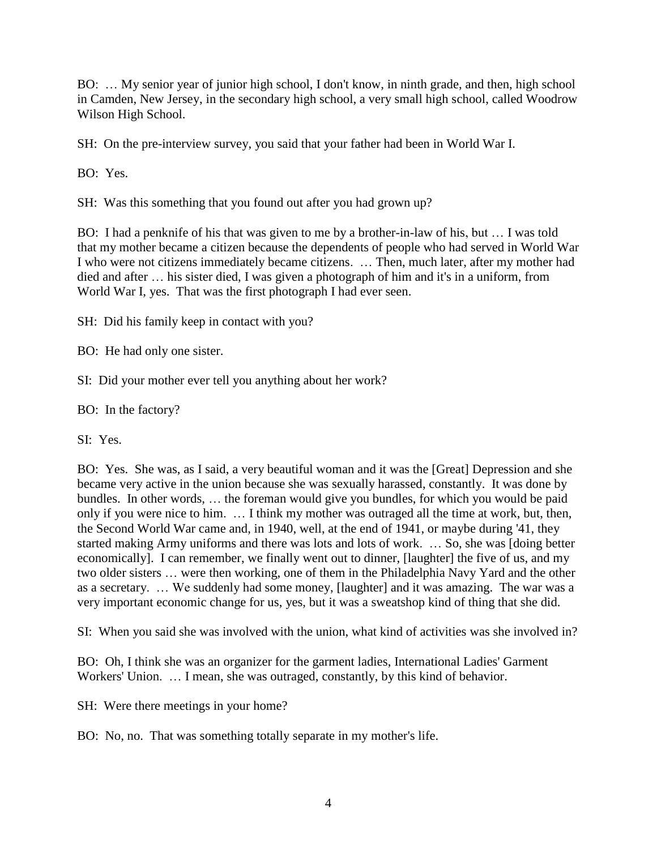BO: … My senior year of junior high school, I don't know, in ninth grade, and then, high school in Camden, New Jersey, in the secondary high school, a very small high school, called Woodrow Wilson High School.

SH: On the pre-interview survey, you said that your father had been in World War I.

BO: Yes.

SH: Was this something that you found out after you had grown up?

BO: I had a penknife of his that was given to me by a brother-in-law of his, but … I was told that my mother became a citizen because the dependents of people who had served in World War I who were not citizens immediately became citizens. … Then, much later, after my mother had died and after … his sister died, I was given a photograph of him and it's in a uniform, from World War I, yes. That was the first photograph I had ever seen.

SH: Did his family keep in contact with you?

BO: He had only one sister.

SI: Did your mother ever tell you anything about her work?

BO: In the factory?

SI: Yes.

BO: Yes. She was, as I said, a very beautiful woman and it was the [Great] Depression and she became very active in the union because she was sexually harassed, constantly. It was done by bundles. In other words, … the foreman would give you bundles, for which you would be paid only if you were nice to him. … I think my mother was outraged all the time at work, but, then, the Second World War came and, in 1940, well, at the end of 1941, or maybe during '41, they started making Army uniforms and there was lots and lots of work. … So, she was [doing better economically]. I can remember, we finally went out to dinner, [laughter] the five of us, and my two older sisters … were then working, one of them in the Philadelphia Navy Yard and the other as a secretary. … We suddenly had some money, [laughter] and it was amazing. The war was a very important economic change for us, yes, but it was a sweatshop kind of thing that she did.

SI: When you said she was involved with the union, what kind of activities was she involved in?

BO: Oh, I think she was an organizer for the garment ladies, International Ladies' Garment Workers' Union. … I mean, she was outraged, constantly, by this kind of behavior.

SH: Were there meetings in your home?

BO: No, no. That was something totally separate in my mother's life.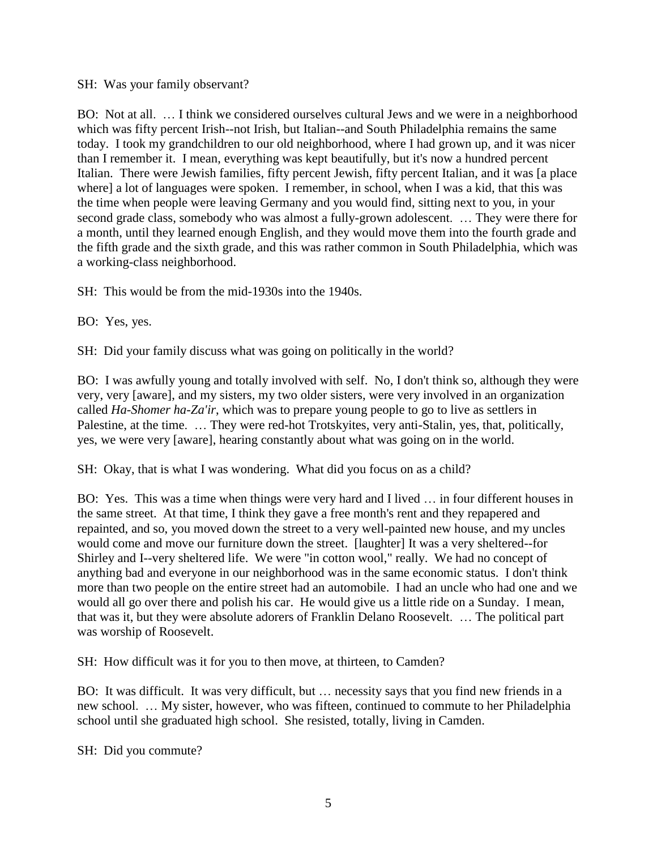#### SH: Was your family observant?

BO: Not at all. … I think we considered ourselves cultural Jews and we were in a neighborhood which was fifty percent Irish--not Irish, but Italian--and South Philadelphia remains the same today. I took my grandchildren to our old neighborhood, where I had grown up, and it was nicer than I remember it. I mean, everything was kept beautifully, but it's now a hundred percent Italian. There were Jewish families, fifty percent Jewish, fifty percent Italian, and it was [a place where] a lot of languages were spoken. I remember, in school, when I was a kid, that this was the time when people were leaving Germany and you would find, sitting next to you, in your second grade class, somebody who was almost a fully-grown adolescent. … They were there for a month, until they learned enough English, and they would move them into the fourth grade and the fifth grade and the sixth grade, and this was rather common in South Philadelphia, which was a working-class neighborhood.

SH: This would be from the mid-1930s into the 1940s.

BO: Yes, yes.

SH: Did your family discuss what was going on politically in the world?

BO: I was awfully young and totally involved with self. No, I don't think so, although they were very, very [aware], and my sisters, my two older sisters, were very involved in an organization called *Ha-Shomer ha-Za'ir*, which was to prepare young people to go to live as settlers in Palestine, at the time. … They were red-hot Trotskyites, very anti-Stalin, yes, that, politically, yes, we were very [aware], hearing constantly about what was going on in the world.

SH: Okay, that is what I was wondering. What did you focus on as a child?

BO: Yes. This was a time when things were very hard and I lived … in four different houses in the same street. At that time, I think they gave a free month's rent and they repapered and repainted, and so, you moved down the street to a very well-painted new house, and my uncles would come and move our furniture down the street. [laughter] It was a very sheltered--for Shirley and I--very sheltered life. We were "in cotton wool," really. We had no concept of anything bad and everyone in our neighborhood was in the same economic status. I don't think more than two people on the entire street had an automobile. I had an uncle who had one and we would all go over there and polish his car. He would give us a little ride on a Sunday. I mean, that was it, but they were absolute adorers of Franklin Delano Roosevelt. … The political part was worship of Roosevelt.

SH: How difficult was it for you to then move, at thirteen, to Camden?

BO: It was difficult. It was very difficult, but … necessity says that you find new friends in a new school. … My sister, however, who was fifteen, continued to commute to her Philadelphia school until she graduated high school. She resisted, totally, living in Camden.

SH: Did you commute?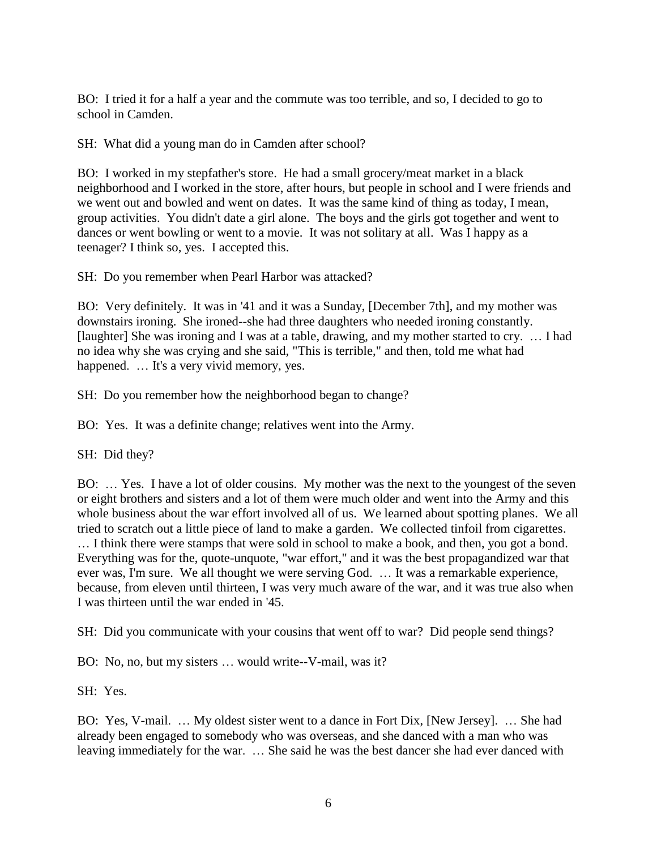BO: I tried it for a half a year and the commute was too terrible, and so, I decided to go to school in Camden.

SH: What did a young man do in Camden after school?

BO: I worked in my stepfather's store. He had a small grocery/meat market in a black neighborhood and I worked in the store, after hours, but people in school and I were friends and we went out and bowled and went on dates. It was the same kind of thing as today, I mean, group activities. You didn't date a girl alone. The boys and the girls got together and went to dances or went bowling or went to a movie. It was not solitary at all. Was I happy as a teenager? I think so, yes. I accepted this.

SH: Do you remember when Pearl Harbor was attacked?

BO: Very definitely. It was in '41 and it was a Sunday, [December 7th], and my mother was downstairs ironing. She ironed--she had three daughters who needed ironing constantly. [laughter] She was ironing and I was at a table, drawing, and my mother started to cry. … I had no idea why she was crying and she said, "This is terrible," and then, told me what had happened. ... It's a very vivid memory, yes.

SH: Do you remember how the neighborhood began to change?

BO: Yes. It was a definite change; relatives went into the Army.

SH: Did they?

BO: … Yes. I have a lot of older cousins. My mother was the next to the youngest of the seven or eight brothers and sisters and a lot of them were much older and went into the Army and this whole business about the war effort involved all of us. We learned about spotting planes. We all tried to scratch out a little piece of land to make a garden. We collected tinfoil from cigarettes. … I think there were stamps that were sold in school to make a book, and then, you got a bond. Everything was for the, quote-unquote, "war effort," and it was the best propagandized war that ever was, I'm sure. We all thought we were serving God. … It was a remarkable experience, because, from eleven until thirteen, I was very much aware of the war, and it was true also when I was thirteen until the war ended in '45.

SH: Did you communicate with your cousins that went off to war? Did people send things?

BO: No, no, but my sisters … would write--V-mail, was it?

SH: Yes.

BO: Yes, V-mail. … My oldest sister went to a dance in Fort Dix, [New Jersey]. … She had already been engaged to somebody who was overseas, and she danced with a man who was leaving immediately for the war. … She said he was the best dancer she had ever danced with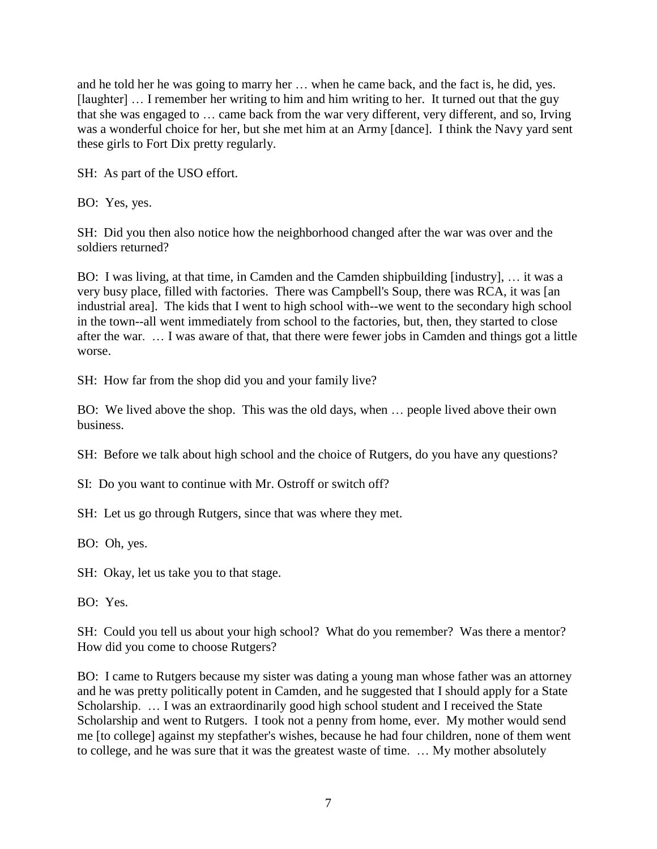and he told her he was going to marry her … when he came back, and the fact is, he did, yes. [laughter] ... I remember her writing to him and him writing to her. It turned out that the guy that she was engaged to … came back from the war very different, very different, and so, Irving was a wonderful choice for her, but she met him at an Army [dance]. I think the Navy yard sent these girls to Fort Dix pretty regularly.

SH: As part of the USO effort.

BO: Yes, yes.

SH: Did you then also notice how the neighborhood changed after the war was over and the soldiers returned?

BO: I was living, at that time, in Camden and the Camden shipbuilding [industry], … it was a very busy place, filled with factories. There was Campbell's Soup, there was RCA, it was [an industrial area]. The kids that I went to high school with--we went to the secondary high school in the town--all went immediately from school to the factories, but, then, they started to close after the war. … I was aware of that, that there were fewer jobs in Camden and things got a little worse.

SH: How far from the shop did you and your family live?

BO: We lived above the shop. This was the old days, when … people lived above their own business.

SH: Before we talk about high school and the choice of Rutgers, do you have any questions?

SI: Do you want to continue with Mr. Ostroff or switch off?

SH: Let us go through Rutgers, since that was where they met.

BO: Oh, yes.

SH: Okay, let us take you to that stage.

BO: Yes.

SH: Could you tell us about your high school? What do you remember? Was there a mentor? How did you come to choose Rutgers?

BO: I came to Rutgers because my sister was dating a young man whose father was an attorney and he was pretty politically potent in Camden, and he suggested that I should apply for a State Scholarship. … I was an extraordinarily good high school student and I received the State Scholarship and went to Rutgers. I took not a penny from home, ever. My mother would send me [to college] against my stepfather's wishes, because he had four children, none of them went to college, and he was sure that it was the greatest waste of time. … My mother absolutely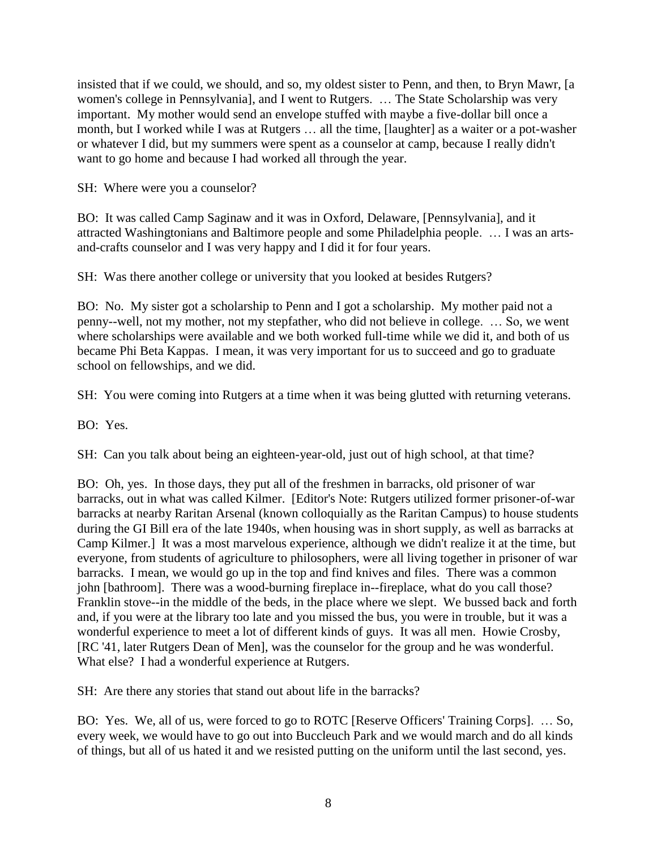insisted that if we could, we should, and so, my oldest sister to Penn, and then, to Bryn Mawr, [a women's college in Pennsylvania], and I went to Rutgers. … The State Scholarship was very important. My mother would send an envelope stuffed with maybe a five-dollar bill once a month, but I worked while I was at Rutgers … all the time, [laughter] as a waiter or a pot-washer or whatever I did, but my summers were spent as a counselor at camp, because I really didn't want to go home and because I had worked all through the year.

SH: Where were you a counselor?

BO: It was called Camp Saginaw and it was in Oxford, Delaware, [Pennsylvania], and it attracted Washingtonians and Baltimore people and some Philadelphia people. … I was an artsand-crafts counselor and I was very happy and I did it for four years.

SH: Was there another college or university that you looked at besides Rutgers?

BO: No. My sister got a scholarship to Penn and I got a scholarship. My mother paid not a penny--well, not my mother, not my stepfather, who did not believe in college. … So, we went where scholarships were available and we both worked full-time while we did it, and both of us became Phi Beta Kappas. I mean, it was very important for us to succeed and go to graduate school on fellowships, and we did.

SH: You were coming into Rutgers at a time when it was being glutted with returning veterans.

BO: Yes.

SH: Can you talk about being an eighteen-year-old, just out of high school, at that time?

BO: Oh, yes. In those days, they put all of the freshmen in barracks, old prisoner of war barracks, out in what was called Kilmer. [Editor's Note: Rutgers utilized former prisoner-of-war barracks at nearby Raritan Arsenal (known colloquially as the Raritan Campus) to house students during the GI Bill era of the late 1940s, when housing was in short supply, as well as barracks at Camp Kilmer.] It was a most marvelous experience, although we didn't realize it at the time, but everyone, from students of agriculture to philosophers, were all living together in prisoner of war barracks. I mean, we would go up in the top and find knives and files. There was a common john [bathroom]. There was a wood-burning fireplace in--fireplace, what do you call those? Franklin stove--in the middle of the beds, in the place where we slept. We bussed back and forth and, if you were at the library too late and you missed the bus, you were in trouble, but it was a wonderful experience to meet a lot of different kinds of guys. It was all men. Howie Crosby, [RC '41, later Rutgers Dean of Men], was the counselor for the group and he was wonderful. What else? I had a wonderful experience at Rutgers.

SH: Are there any stories that stand out about life in the barracks?

BO: Yes. We, all of us, were forced to go to ROTC [Reserve Officers' Training Corps]. … So, every week, we would have to go out into Buccleuch Park and we would march and do all kinds of things, but all of us hated it and we resisted putting on the uniform until the last second, yes.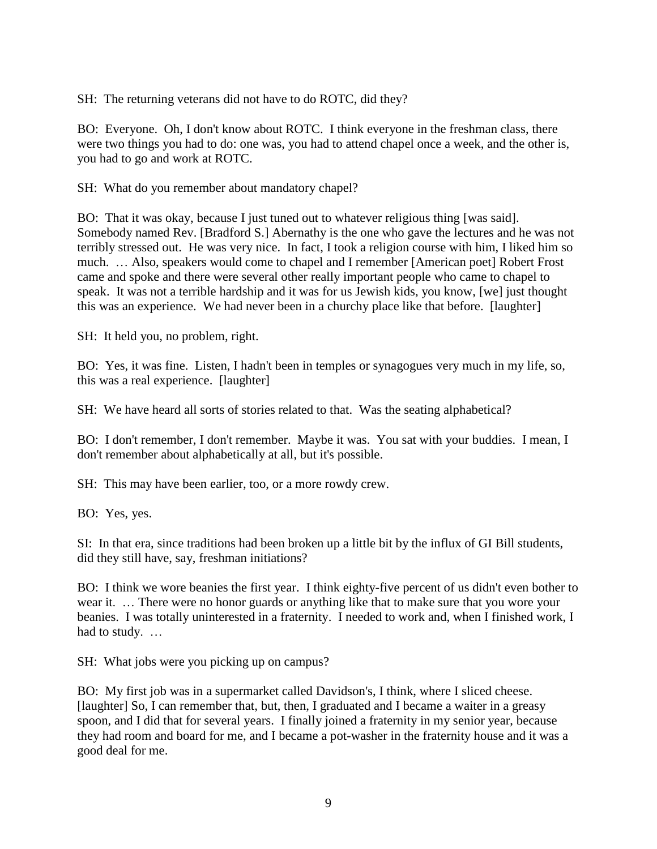SH: The returning veterans did not have to do ROTC, did they?

BO: Everyone. Oh, I don't know about ROTC. I think everyone in the freshman class, there were two things you had to do: one was, you had to attend chapel once a week, and the other is, you had to go and work at ROTC.

SH: What do you remember about mandatory chapel?

BO: That it was okay, because I just tuned out to whatever religious thing [was said]. Somebody named Rev. [Bradford S.] Abernathy is the one who gave the lectures and he was not terribly stressed out. He was very nice. In fact, I took a religion course with him, I liked him so much. … Also, speakers would come to chapel and I remember [American poet] Robert Frost came and spoke and there were several other really important people who came to chapel to speak. It was not a terrible hardship and it was for us Jewish kids, you know, [we] just thought this was an experience. We had never been in a churchy place like that before. [laughter]

SH: It held you, no problem, right.

BO: Yes, it was fine. Listen, I hadn't been in temples or synagogues very much in my life, so, this was a real experience. [laughter]

SH: We have heard all sorts of stories related to that. Was the seating alphabetical?

BO: I don't remember, I don't remember. Maybe it was. You sat with your buddies. I mean, I don't remember about alphabetically at all, but it's possible.

SH: This may have been earlier, too, or a more rowdy crew.

BO: Yes, yes.

SI: In that era, since traditions had been broken up a little bit by the influx of GI Bill students, did they still have, say, freshman initiations?

BO: I think we wore beanies the first year. I think eighty-five percent of us didn't even bother to wear it. … There were no honor guards or anything like that to make sure that you wore your beanies. I was totally uninterested in a fraternity. I needed to work and, when I finished work, I had to study. …

SH: What jobs were you picking up on campus?

BO: My first job was in a supermarket called Davidson's, I think, where I sliced cheese. [laughter] So, I can remember that, but, then, I graduated and I became a waiter in a greasy spoon, and I did that for several years. I finally joined a fraternity in my senior year, because they had room and board for me, and I became a pot-washer in the fraternity house and it was a good deal for me.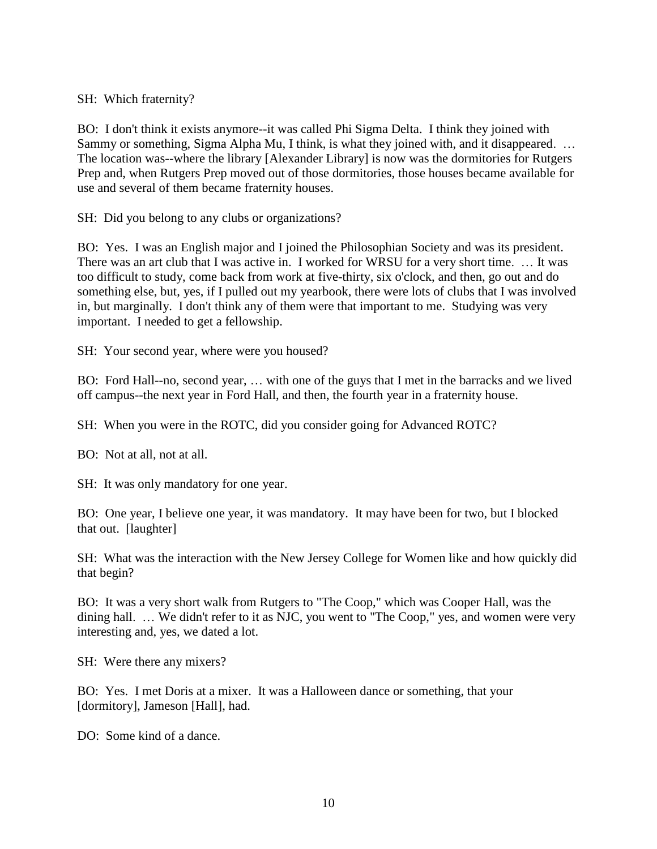SH: Which fraternity?

BO: I don't think it exists anymore--it was called Phi Sigma Delta. I think they joined with Sammy or something, Sigma Alpha Mu, I think, is what they joined with, and it disappeared. … The location was--where the library [Alexander Library] is now was the dormitories for Rutgers Prep and, when Rutgers Prep moved out of those dormitories, those houses became available for use and several of them became fraternity houses.

SH: Did you belong to any clubs or organizations?

BO: Yes. I was an English major and I joined the Philosophian Society and was its president. There was an art club that I was active in. I worked for WRSU for a very short time. … It was too difficult to study, come back from work at five-thirty, six o'clock, and then, go out and do something else, but, yes, if I pulled out my yearbook, there were lots of clubs that I was involved in, but marginally. I don't think any of them were that important to me. Studying was very important. I needed to get a fellowship.

SH: Your second year, where were you housed?

BO: Ford Hall--no, second year, … with one of the guys that I met in the barracks and we lived off campus--the next year in Ford Hall, and then, the fourth year in a fraternity house.

SH: When you were in the ROTC, did you consider going for Advanced ROTC?

BO: Not at all, not at all.

SH: It was only mandatory for one year.

BO: One year, I believe one year, it was mandatory. It may have been for two, but I blocked that out. [laughter]

SH: What was the interaction with the New Jersey College for Women like and how quickly did that begin?

BO: It was a very short walk from Rutgers to "The Coop," which was Cooper Hall, was the dining hall. … We didn't refer to it as NJC, you went to "The Coop," yes, and women were very interesting and, yes, we dated a lot.

SH: Were there any mixers?

BO: Yes. I met Doris at a mixer. It was a Halloween dance or something, that your [dormitory], Jameson [Hall], had.

DO: Some kind of a dance.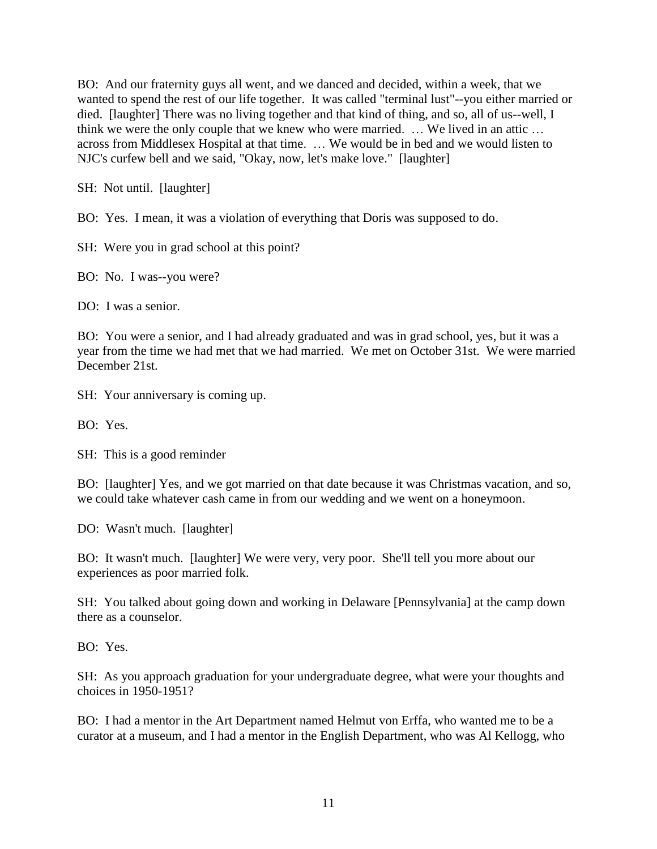BO: And our fraternity guys all went, and we danced and decided, within a week, that we wanted to spend the rest of our life together. It was called "terminal lust"--you either married or died. [laughter] There was no living together and that kind of thing, and so, all of us--well, I think we were the only couple that we knew who were married. … We lived in an attic … across from Middlesex Hospital at that time. … We would be in bed and we would listen to NJC's curfew bell and we said, "Okay, now, let's make love." [laughter]

SH: Not until. [laughter]

BO: Yes. I mean, it was a violation of everything that Doris was supposed to do.

SH: Were you in grad school at this point?

BO: No. I was--you were?

DO: I was a senior.

BO: You were a senior, and I had already graduated and was in grad school, yes, but it was a year from the time we had met that we had married. We met on October 31st. We were married December 21st.

SH: Your anniversary is coming up.

BO: Yes.

SH: This is a good reminder

BO: [laughter] Yes, and we got married on that date because it was Christmas vacation, and so, we could take whatever cash came in from our wedding and we went on a honeymoon.

DO: Wasn't much. [laughter]

BO: It wasn't much. [laughter] We were very, very poor. She'll tell you more about our experiences as poor married folk.

SH: You talked about going down and working in Delaware [Pennsylvania] at the camp down there as a counselor.

BO: Yes.

SH: As you approach graduation for your undergraduate degree, what were your thoughts and choices in 1950-1951?

BO: I had a mentor in the Art Department named Helmut von Erffa, who wanted me to be a curator at a museum, and I had a mentor in the English Department, who was Al Kellogg, who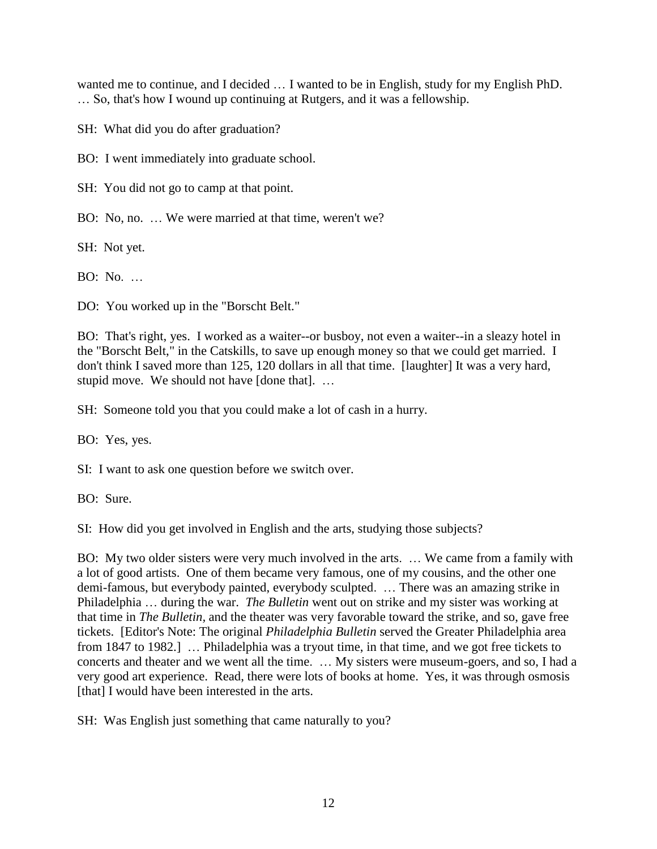wanted me to continue, and I decided … I wanted to be in English, study for my English PhD. … So, that's how I wound up continuing at Rutgers, and it was a fellowship.

SH: What did you do after graduation?

BO: I went immediately into graduate school.

SH: You did not go to camp at that point.

BO: No, no. … We were married at that time, weren't we?

SH: Not yet.

BO: No. …

DO: You worked up in the "Borscht Belt."

BO: That's right, yes. I worked as a waiter--or busboy, not even a waiter--in a sleazy hotel in the "Borscht Belt," in the Catskills, to save up enough money so that we could get married. I don't think I saved more than 125, 120 dollars in all that time. [laughter] It was a very hard, stupid move. We should not have [done that]. …

SH: Someone told you that you could make a lot of cash in a hurry.

BO: Yes, yes.

SI: I want to ask one question before we switch over.

BO: Sure.

SI: How did you get involved in English and the arts, studying those subjects?

BO: My two older sisters were very much involved in the arts. … We came from a family with a lot of good artists. One of them became very famous, one of my cousins, and the other one demi-famous, but everybody painted, everybody sculpted. … There was an amazing strike in Philadelphia … during the war. *The Bulletin* went out on strike and my sister was working at that time in *The Bulletin,* and the theater was very favorable toward the strike, and so, gave free tickets. [Editor's Note: The original *Philadelphia Bulletin* served the Greater Philadelphia area from 1847 to 1982.] … Philadelphia was a tryout time, in that time, and we got free tickets to concerts and theater and we went all the time. … My sisters were museum-goers, and so, I had a very good art experience. Read, there were lots of books at home. Yes, it was through osmosis [that] I would have been interested in the arts.

SH: Was English just something that came naturally to you?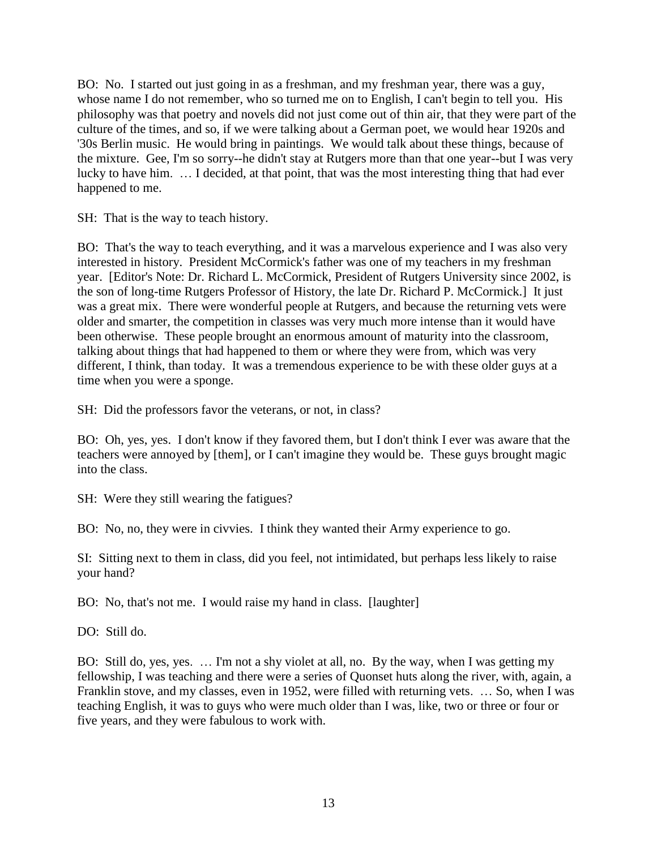BO: No. I started out just going in as a freshman, and my freshman year, there was a guy, whose name I do not remember, who so turned me on to English, I can't begin to tell you. His philosophy was that poetry and novels did not just come out of thin air, that they were part of the culture of the times, and so, if we were talking about a German poet, we would hear 1920s and '30s Berlin music. He would bring in paintings. We would talk about these things, because of the mixture. Gee, I'm so sorry--he didn't stay at Rutgers more than that one year--but I was very lucky to have him. … I decided, at that point, that was the most interesting thing that had ever happened to me.

SH: That is the way to teach history.

BO: That's the way to teach everything, and it was a marvelous experience and I was also very interested in history. President McCormick's father was one of my teachers in my freshman year. [Editor's Note: Dr. Richard L. McCormick, President of Rutgers University since 2002, is the son of long-time Rutgers Professor of History, the late Dr. Richard P. McCormick.] It just was a great mix. There were wonderful people at Rutgers, and because the returning vets were older and smarter, the competition in classes was very much more intense than it would have been otherwise. These people brought an enormous amount of maturity into the classroom, talking about things that had happened to them or where they were from, which was very different, I think, than today. It was a tremendous experience to be with these older guys at a time when you were a sponge.

SH: Did the professors favor the veterans, or not, in class?

BO: Oh, yes, yes. I don't know if they favored them, but I don't think I ever was aware that the teachers were annoyed by [them], or I can't imagine they would be. These guys brought magic into the class.

SH: Were they still wearing the fatigues?

BO: No, no, they were in civvies. I think they wanted their Army experience to go.

SI: Sitting next to them in class, did you feel, not intimidated, but perhaps less likely to raise your hand?

BO: No, that's not me. I would raise my hand in class. [laughter]

DO: Still do.

BO: Still do, yes, yes. … I'm not a shy violet at all, no. By the way, when I was getting my fellowship, I was teaching and there were a series of Quonset huts along the river, with, again, a Franklin stove, and my classes, even in 1952, were filled with returning vets. … So, when I was teaching English, it was to guys who were much older than I was, like, two or three or four or five years, and they were fabulous to work with.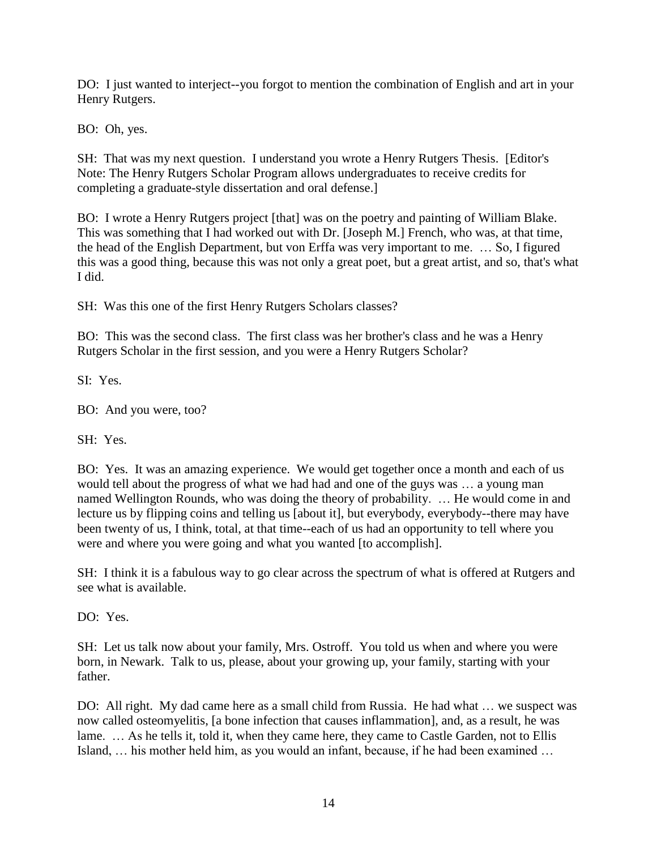DO: I just wanted to interject--you forgot to mention the combination of English and art in your Henry Rutgers.

BO: Oh, yes.

SH: That was my next question. I understand you wrote a Henry Rutgers Thesis. [Editor's Note: The Henry Rutgers Scholar Program allows undergraduates to receive credits for completing a graduate-style dissertation and oral defense.]

BO: I wrote a Henry Rutgers project [that] was on the poetry and painting of William Blake. This was something that I had worked out with Dr. [Joseph M.] French, who was, at that time, the head of the English Department, but von Erffa was very important to me. … So, I figured this was a good thing, because this was not only a great poet, but a great artist, and so, that's what I did.

SH: Was this one of the first Henry Rutgers Scholars classes?

BO: This was the second class. The first class was her brother's class and he was a Henry Rutgers Scholar in the first session, and you were a Henry Rutgers Scholar?

 $SI: Y_{PS}$ 

BO: And you were, too?

SH: Yes.

BO: Yes. It was an amazing experience. We would get together once a month and each of us would tell about the progress of what we had had and one of the guys was … a young man named Wellington Rounds, who was doing the theory of probability. … He would come in and lecture us by flipping coins and telling us [about it], but everybody, everybody--there may have been twenty of us, I think, total, at that time--each of us had an opportunity to tell where you were and where you were going and what you wanted [to accomplish].

SH: I think it is a fabulous way to go clear across the spectrum of what is offered at Rutgers and see what is available.

DO: Yes.

SH: Let us talk now about your family, Mrs. Ostroff. You told us when and where you were born, in Newark. Talk to us, please, about your growing up, your family, starting with your father.

DO: All right. My dad came here as a small child from Russia. He had what … we suspect was now called osteomyelitis, [a bone infection that causes inflammation], and, as a result, he was lame. ... As he tells it, told it, when they came here, they came to Castle Garden, not to Ellis Island, … his mother held him, as you would an infant, because, if he had been examined …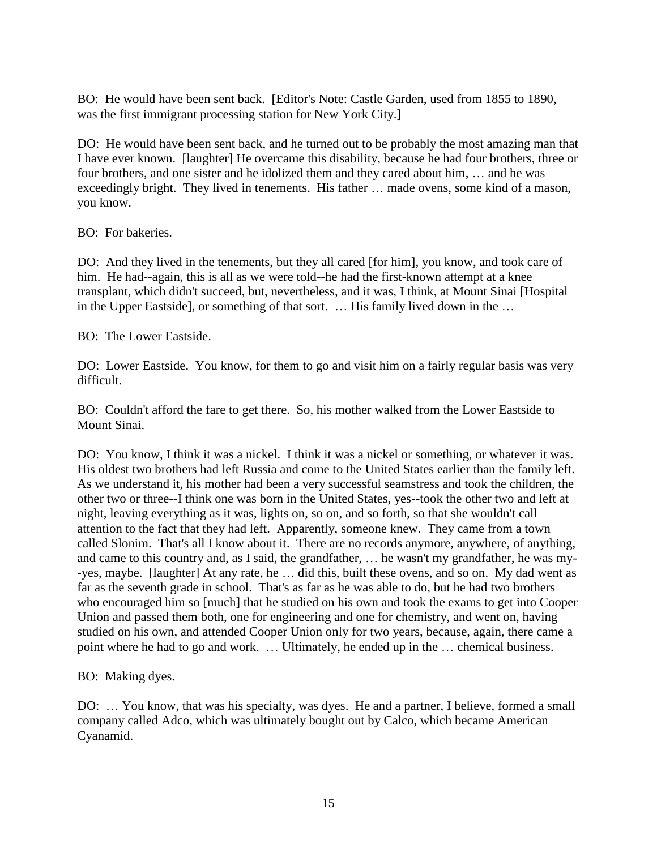BO: He would have been sent back. [Editor's Note: Castle Garden, used from 1855 to 1890, was the first immigrant processing station for New York City.]

DO: He would have been sent back, and he turned out to be probably the most amazing man that I have ever known. [laughter] He overcame this disability, because he had four brothers, three or four brothers, and one sister and he idolized them and they cared about him, … and he was exceedingly bright. They lived in tenements. His father … made ovens, some kind of a mason, you know.

BO: For bakeries.

DO: And they lived in the tenements, but they all cared [for him], you know, and took care of him. He had--again, this is all as we were told--he had the first-known attempt at a knee transplant, which didn't succeed, but, nevertheless, and it was, I think, at Mount Sinai [Hospital in the Upper Eastside], or something of that sort. … His family lived down in the …

BO: The Lower Eastside.

DO: Lower Eastside. You know, for them to go and visit him on a fairly regular basis was very difficult.

BO: Couldn't afford the fare to get there. So, his mother walked from the Lower Eastside to Mount Sinai.

DO: You know, I think it was a nickel. I think it was a nickel or something, or whatever it was. His oldest two brothers had left Russia and come to the United States earlier than the family left. As we understand it, his mother had been a very successful seamstress and took the children, the other two or three--I think one was born in the United States, yes--took the other two and left at night, leaving everything as it was, lights on, so on, and so forth, so that she wouldn't call attention to the fact that they had left. Apparently, someone knew. They came from a town called Slonim. That's all I know about it. There are no records anymore, anywhere, of anything, and came to this country and, as I said, the grandfather, … he wasn't my grandfather, he was my- -yes, maybe. [laughter] At any rate, he … did this, built these ovens, and so on. My dad went as far as the seventh grade in school. That's as far as he was able to do, but he had two brothers who encouraged him so [much] that he studied on his own and took the exams to get into Cooper Union and passed them both, one for engineering and one for chemistry, and went on, having studied on his own, and attended Cooper Union only for two years, because, again, there came a point where he had to go and work. … Ultimately, he ended up in the … chemical business.

BO: Making dyes.

DO: … You know, that was his specialty, was dyes. He and a partner, I believe, formed a small company called Adco, which was ultimately bought out by Calco, which became American Cyanamid.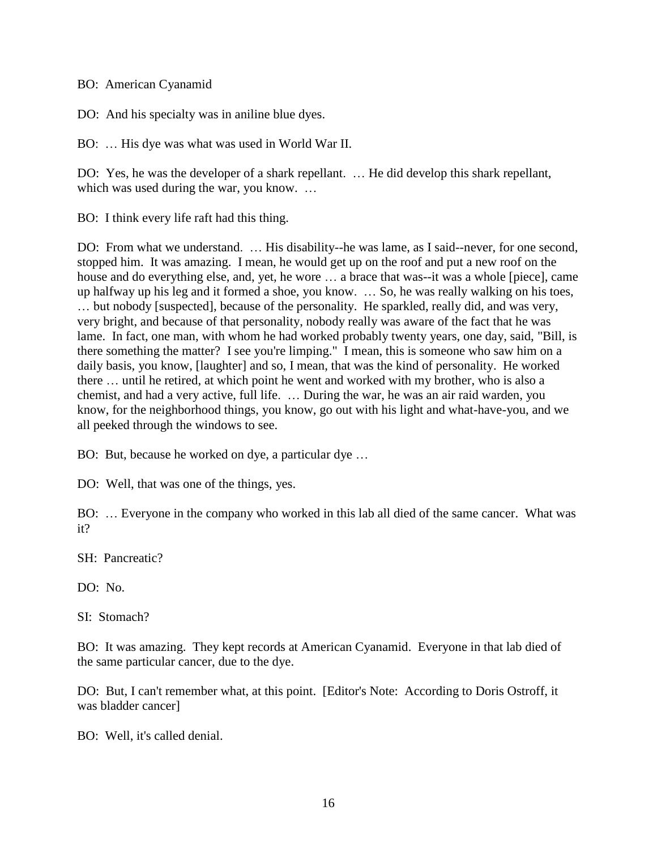BO: American Cyanamid

DO: And his specialty was in aniline blue dyes.

BO: … His dye was what was used in World War II.

DO: Yes, he was the developer of a shark repellant. … He did develop this shark repellant, which was used during the war, you know. ...

BO: I think every life raft had this thing.

DO: From what we understand. … His disability--he was lame, as I said--never, for one second, stopped him. It was amazing. I mean, he would get up on the roof and put a new roof on the house and do everything else, and, yet, he wore ... a brace that was--it was a whole [piece], came up halfway up his leg and it formed a shoe, you know. … So, he was really walking on his toes, … but nobody [suspected], because of the personality. He sparkled, really did, and was very, very bright, and because of that personality, nobody really was aware of the fact that he was lame. In fact, one man, with whom he had worked probably twenty years, one day, said, "Bill, is there something the matter? I see you're limping." I mean, this is someone who saw him on a daily basis, you know, [laughter] and so, I mean, that was the kind of personality. He worked there … until he retired, at which point he went and worked with my brother, who is also a chemist, and had a very active, full life. … During the war, he was an air raid warden, you know, for the neighborhood things, you know, go out with his light and what-have-you, and we all peeked through the windows to see.

BO: But, because he worked on dye, a particular dye …

DO: Well, that was one of the things, yes.

BO: … Everyone in the company who worked in this lab all died of the same cancer. What was it?

SH: Pancreatic?

DO: No.

SI: Stomach?

BO: It was amazing. They kept records at American Cyanamid. Everyone in that lab died of the same particular cancer, due to the dye.

DO: But, I can't remember what, at this point. [Editor's Note: According to Doris Ostroff, it was bladder cancer]

BO: Well, it's called denial.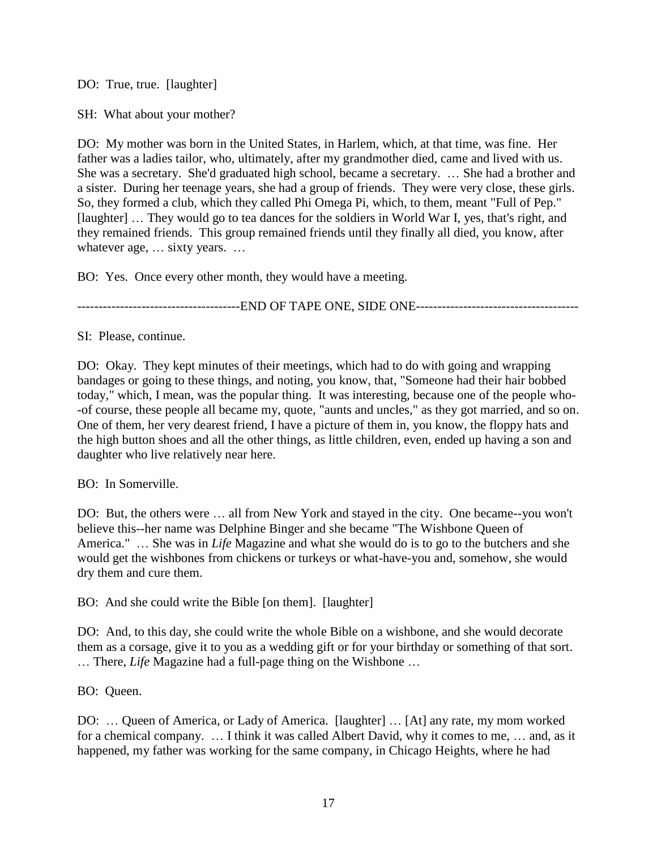DO: True, true. [laughter]

SH: What about your mother?

DO: My mother was born in the United States, in Harlem, which, at that time, was fine. Her father was a ladies tailor, who, ultimately, after my grandmother died, came and lived with us. She was a secretary. She'd graduated high school, became a secretary. … She had a brother and a sister. During her teenage years, she had a group of friends. They were very close, these girls. So, they formed a club, which they called Phi Omega Pi, which, to them, meant "Full of Pep." [laughter] ... They would go to tea dances for the soldiers in World War I, yes, that's right, and they remained friends. This group remained friends until they finally all died, you know, after whatever age, … sixty years. …

BO: Yes. Once every other month, they would have a meeting.

--------------------------------------END OF TAPE ONE, SIDE ONE--------------------------------------

SI: Please, continue.

DO: Okay. They kept minutes of their meetings, which had to do with going and wrapping bandages or going to these things, and noting, you know, that, "Someone had their hair bobbed today," which, I mean, was the popular thing. It was interesting, because one of the people who- -of course, these people all became my, quote*,* "aunts and uncles," as they got married, and so on. One of them, her very dearest friend, I have a picture of them in, you know, the floppy hats and the high button shoes and all the other things, as little children, even, ended up having a son and daughter who live relatively near here.

BO: In Somerville.

DO: But, the others were … all from New York and stayed in the city. One became--you won't believe this--her name was Delphine Binger and she became "The Wishbone Queen of America." … She was in *Life* Magazine and what she would do is to go to the butchers and she would get the wishbones from chickens or turkeys or what-have-you and, somehow, she would dry them and cure them.

BO: And she could write the Bible [on them]. [laughter]

DO: And, to this day, she could write the whole Bible on a wishbone, and she would decorate them as a corsage, give it to you as a wedding gift or for your birthday or something of that sort. … There, *Life* Magazine had a full-page thing on the Wishbone …

BO: Queen.

DO: … Queen of America, or Lady of America. [laughter] … [At] any rate, my mom worked for a chemical company. … I think it was called Albert David, why it comes to me, … and, as it happened, my father was working for the same company, in Chicago Heights, where he had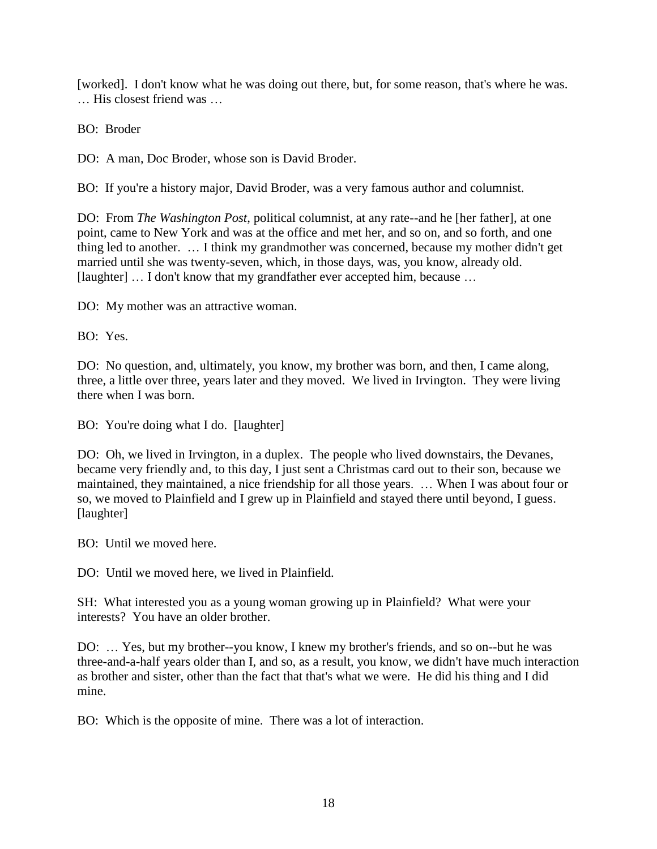[worked]. I don't know what he was doing out there, but, for some reason, that's where he was. … His closest friend was …

BO: Broder

DO: A man, Doc Broder, whose son is David Broder.

BO: If you're a history major, David Broder, was a very famous author and columnist.

DO: From *The Washington Post*, political columnist, at any rate--and he [her father], at one point, came to New York and was at the office and met her, and so on, and so forth, and one thing led to another. … I think my grandmother was concerned, because my mother didn't get married until she was twenty-seven, which, in those days, was, you know, already old. [laughter] ... I don't know that my grandfather ever accepted him, because ...

DO: My mother was an attractive woman.

BO: Yes.

DO: No question, and, ultimately, you know, my brother was born, and then, I came along, three, a little over three, years later and they moved. We lived in Irvington. They were living there when I was born.

BO: You're doing what I do. [laughter]

DO: Oh, we lived in Irvington, in a duplex. The people who lived downstairs, the Devanes, became very friendly and, to this day, I just sent a Christmas card out to their son, because we maintained, they maintained, a nice friendship for all those years. … When I was about four or so, we moved to Plainfield and I grew up in Plainfield and stayed there until beyond, I guess. [laughter]

BO: Until we moved here.

DO: Until we moved here, we lived in Plainfield.

SH: What interested you as a young woman growing up in Plainfield? What were your interests? You have an older brother.

DO: … Yes, but my brother--you know, I knew my brother's friends, and so on--but he was three-and-a-half years older than I, and so, as a result, you know, we didn't have much interaction as brother and sister, other than the fact that that's what we were. He did his thing and I did mine.

BO: Which is the opposite of mine. There was a lot of interaction.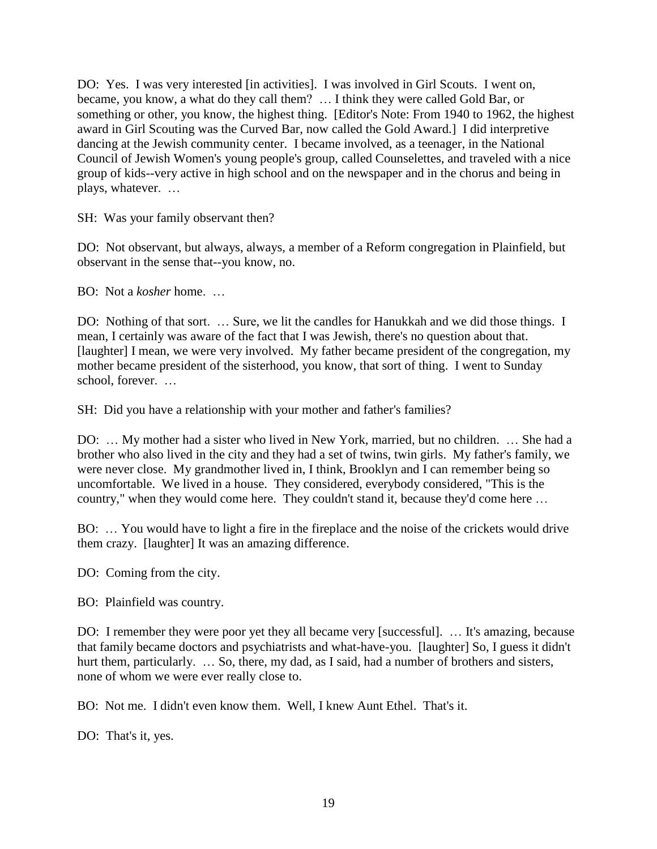DO: Yes. I was very interested [in activities]. I was involved in Girl Scouts. I went on, became, you know, a what do they call them? … I think they were called Gold Bar, or something or other, you know, the highest thing. [Editor's Note: From 1940 to 1962, the highest award in Girl Scouting was the Curved Bar, now called the Gold Award.] I did interpretive dancing at the Jewish community center. I became involved, as a teenager, in the National Council of Jewish Women's young people's group, called Counselettes, and traveled with a nice group of kids--very active in high school and on the newspaper and in the chorus and being in plays, whatever. …

SH: Was your family observant then?

DO: Not observant, but always, always, a member of a Reform congregation in Plainfield, but observant in the sense that--you know, no.

BO: Not a *kosher* home. …

DO: Nothing of that sort. … Sure, we lit the candles for Hanukkah and we did those things. I mean, I certainly was aware of the fact that I was Jewish, there's no question about that. [laughter] I mean, we were very involved. My father became president of the congregation, my mother became president of the sisterhood, you know, that sort of thing. I went to Sunday school, forever. …

SH: Did you have a relationship with your mother and father's families?

DO: … My mother had a sister who lived in New York, married, but no children. … She had a brother who also lived in the city and they had a set of twins, twin girls. My father's family, we were never close. My grandmother lived in, I think, Brooklyn and I can remember being so uncomfortable. We lived in a house. They considered, everybody considered, "This is the country," when they would come here. They couldn't stand it, because they'd come here …

BO: … You would have to light a fire in the fireplace and the noise of the crickets would drive them crazy. [laughter] It was an amazing difference.

DO: Coming from the city.

BO: Plainfield was country.

DO: I remember they were poor yet they all became very [successful]. ... It's amazing, because that family became doctors and psychiatrists and what-have-you. [laughter] So, I guess it didn't hurt them, particularly. ... So, there, my dad, as I said, had a number of brothers and sisters, none of whom we were ever really close to.

BO: Not me. I didn't even know them. Well, I knew Aunt Ethel. That's it.

DO: That's it, yes.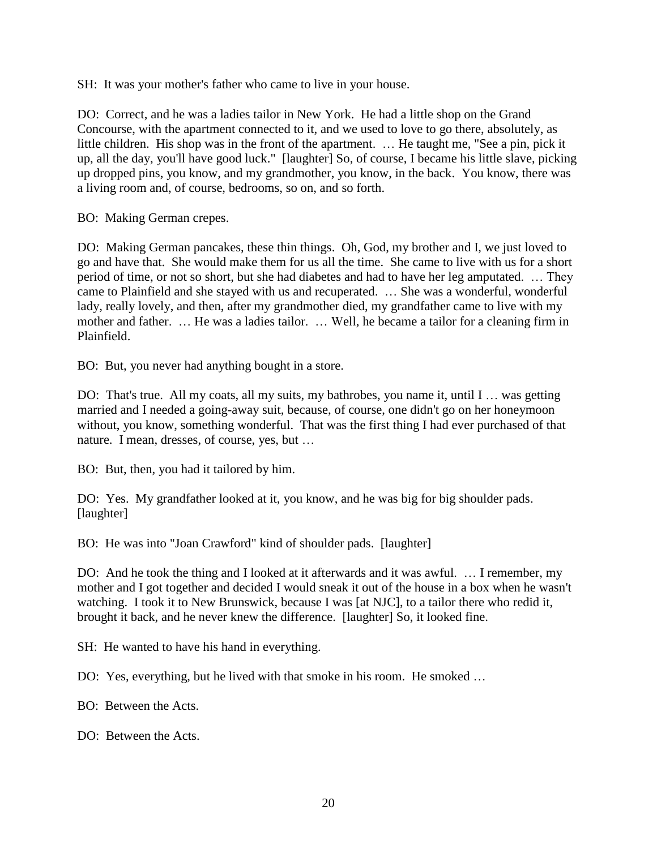SH: It was your mother's father who came to live in your house.

DO: Correct, and he was a ladies tailor in New York. He had a little shop on the Grand Concourse, with the apartment connected to it, and we used to love to go there, absolutely, as little children. His shop was in the front of the apartment. … He taught me, "See a pin, pick it up, all the day, you'll have good luck." [laughter] So, of course, I became his little slave, picking up dropped pins, you know, and my grandmother, you know, in the back. You know, there was a living room and, of course, bedrooms, so on, and so forth.

BO: Making German crepes.

DO: Making German pancakes, these thin things. Oh, God, my brother and I, we just loved to go and have that. She would make them for us all the time. She came to live with us for a short period of time, or not so short, but she had diabetes and had to have her leg amputated. … They came to Plainfield and she stayed with us and recuperated. … She was a wonderful, wonderful lady, really lovely, and then, after my grandmother died, my grandfather came to live with my mother and father. … He was a ladies tailor. … Well, he became a tailor for a cleaning firm in Plainfield.

BO: But, you never had anything bought in a store.

DO: That's true. All my coats, all my suits, my bathrobes, you name it, until I ... was getting married and I needed a going-away suit, because, of course, one didn't go on her honeymoon without, you know, something wonderful. That was the first thing I had ever purchased of that nature. I mean, dresses, of course, yes, but …

BO: But, then, you had it tailored by him.

DO: Yes. My grandfather looked at it, you know, and he was big for big shoulder pads. [laughter]

BO: He was into "Joan Crawford" kind of shoulder pads. [laughter]

DO: And he took the thing and I looked at it afterwards and it was awful. … I remember, my mother and I got together and decided I would sneak it out of the house in a box when he wasn't watching. I took it to New Brunswick, because I was [at NJC], to a tailor there who redid it, brought it back, and he never knew the difference. [laughter] So, it looked fine.

SH: He wanted to have his hand in everything.

DO: Yes, everything, but he lived with that smoke in his room. He smoked …

BO: Between the Acts.

DO: Between the Acts.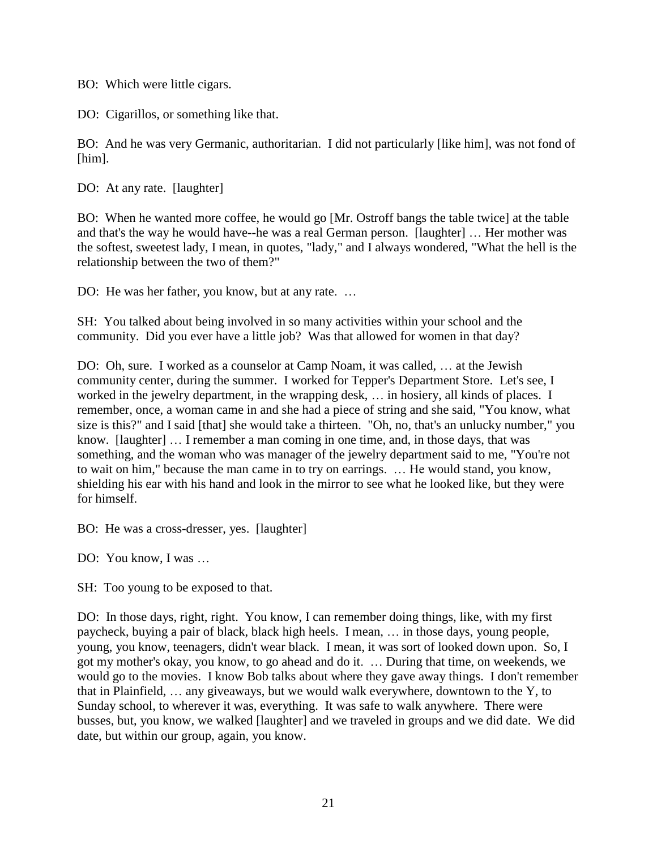BO: Which were little cigars.

DO: Cigarillos, or something like that.

BO: And he was very Germanic, authoritarian. I did not particularly [like him], was not fond of [him].

DO: At any rate. [laughter]

BO: When he wanted more coffee, he would go [Mr. Ostroff bangs the table twice] at the table and that's the way he would have--he was a real German person. [laughter] … Her mother was the softest, sweetest lady, I mean, in quotes, "lady," and I always wondered, "What the hell is the relationship between the two of them?"

DO: He was her father, you know, but at any rate. …

SH: You talked about being involved in so many activities within your school and the community. Did you ever have a little job? Was that allowed for women in that day?

DO: Oh, sure. I worked as a counselor at Camp Noam, it was called, … at the Jewish community center, during the summer. I worked for Tepper's Department Store. Let's see, I worked in the jewelry department, in the wrapping desk, … in hosiery, all kinds of places. I remember, once, a woman came in and she had a piece of string and she said, "You know, what size is this?" and I said [that] she would take a thirteen. "Oh, no, that's an unlucky number," you know. [laughter] … I remember a man coming in one time, and, in those days, that was something, and the woman who was manager of the jewelry department said to me, "You're not to wait on him," because the man came in to try on earrings. … He would stand, you know, shielding his ear with his hand and look in the mirror to see what he looked like, but they were for himself.

BO: He was a cross-dresser, yes. [laughter]

DO: You know, I was …

SH: Too young to be exposed to that.

DO: In those days, right, right. You know, I can remember doing things, like, with my first paycheck, buying a pair of black, black high heels. I mean, … in those days, young people, young, you know, teenagers, didn't wear black. I mean, it was sort of looked down upon. So, I got my mother's okay, you know, to go ahead and do it. … During that time, on weekends, we would go to the movies. I know Bob talks about where they gave away things. I don't remember that in Plainfield, … any giveaways, but we would walk everywhere, downtown to the Y, to Sunday school, to wherever it was, everything. It was safe to walk anywhere. There were busses, but, you know, we walked [laughter] and we traveled in groups and we did date. We did date, but within our group, again, you know.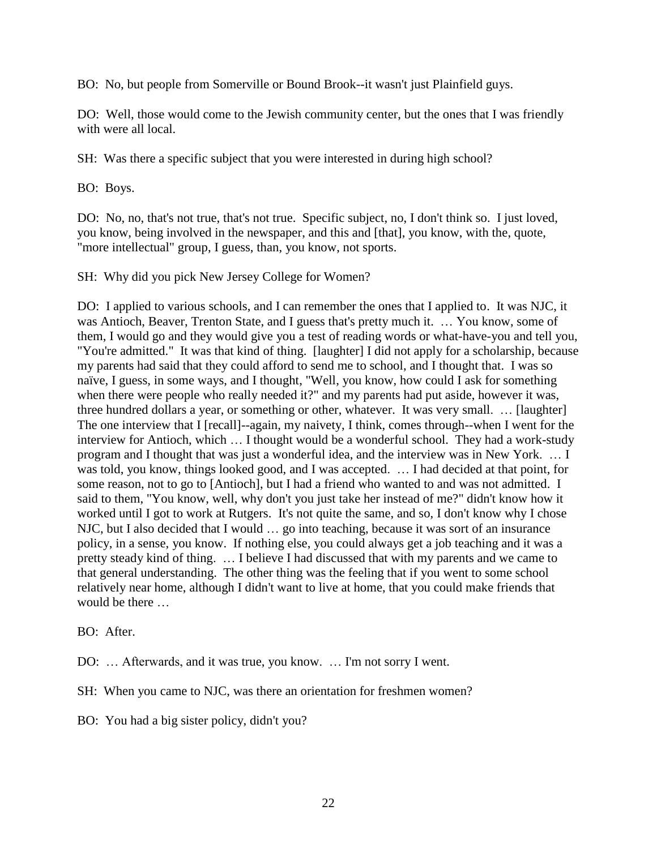BO: No, but people from Somerville or Bound Brook--it wasn't just Plainfield guys.

DO: Well, those would come to the Jewish community center, but the ones that I was friendly with were all local.

SH: Was there a specific subject that you were interested in during high school?

BO: Boys.

DO: No, no, that's not true, that's not true. Specific subject, no, I don't think so. I just loved, you know, being involved in the newspaper, and this and [that], you know, with the, quote, "more intellectual" group, I guess, than, you know, not sports.

SH: Why did you pick New Jersey College for Women?

DO: I applied to various schools, and I can remember the ones that I applied to. It was NJC, it was Antioch, Beaver, Trenton State, and I guess that's pretty much it. … You know, some of them, I would go and they would give you a test of reading words or what-have-you and tell you, "You're admitted." It was that kind of thing. [laughter] I did not apply for a scholarship, because my parents had said that they could afford to send me to school, and I thought that. I was so naïve, I guess, in some ways, and I thought, "Well, you know, how could I ask for something when there were people who really needed it?" and my parents had put aside, however it was, three hundred dollars a year, or something or other, whatever. It was very small. … [laughter] The one interview that I [recall]--again, my naivety, I think, comes through--when I went for the interview for Antioch, which … I thought would be a wonderful school. They had a work-study program and I thought that was just a wonderful idea, and the interview was in New York. … I was told, you know, things looked good, and I was accepted. … I had decided at that point, for some reason, not to go to [Antioch], but I had a friend who wanted to and was not admitted. I said to them, "You know, well, why don't you just take her instead of me?" didn't know how it worked until I got to work at Rutgers. It's not quite the same, and so, I don't know why I chose NJC, but I also decided that I would … go into teaching, because it was sort of an insurance policy, in a sense, you know. If nothing else, you could always get a job teaching and it was a pretty steady kind of thing. … I believe I had discussed that with my parents and we came to that general understanding. The other thing was the feeling that if you went to some school relatively near home, although I didn't want to live at home, that you could make friends that would be there …

BO: After.

DO: … Afterwards, and it was true, you know. … I'm not sorry I went.

SH: When you came to NJC, was there an orientation for freshmen women?

BO: You had a big sister policy, didn't you?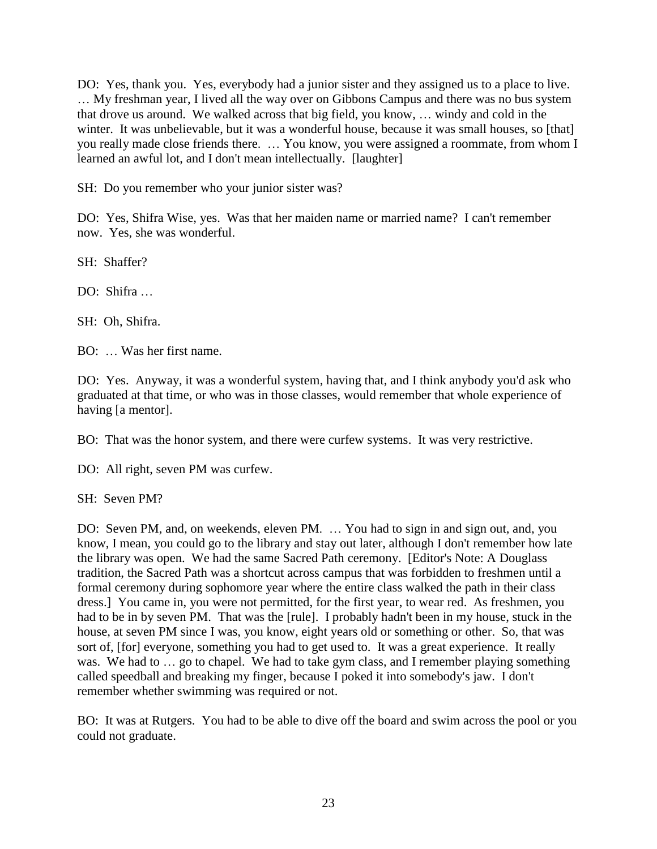DO: Yes, thank you. Yes, everybody had a junior sister and they assigned us to a place to live. … My freshman year, I lived all the way over on Gibbons Campus and there was no bus system that drove us around. We walked across that big field, you know, … windy and cold in the winter. It was unbelievable, but it was a wonderful house, because it was small houses, so [that] you really made close friends there. … You know, you were assigned a roommate, from whom I learned an awful lot, and I don't mean intellectually. [laughter]

SH: Do you remember who your junior sister was?

DO: Yes, Shifra Wise, yes. Was that her maiden name or married name? I can't remember now. Yes, she was wonderful.

SH: Shaffer?

DO: Shifra

SH: Oh, Shifra.

BO: … Was her first name.

DO: Yes. Anyway, it was a wonderful system, having that, and I think anybody you'd ask who graduated at that time, or who was in those classes, would remember that whole experience of having [a mentor].

BO: That was the honor system, and there were curfew systems. It was very restrictive.

DO: All right, seven PM was curfew.

SH: Seven PM?

DO: Seven PM, and, on weekends, eleven PM. … You had to sign in and sign out, and, you know, I mean, you could go to the library and stay out later, although I don't remember how late the library was open. We had the same Sacred Path ceremony. [Editor's Note: A Douglass tradition, the Sacred Path was a shortcut across campus that was forbidden to freshmen until a formal ceremony during sophomore year where the entire class walked the path in their class dress.] You came in, you were not permitted, for the first year, to wear red. As freshmen, you had to be in by seven PM. That was the [rule]. I probably hadn't been in my house, stuck in the house, at seven PM since I was, you know, eight years old or something or other. So, that was sort of, [for] everyone, something you had to get used to. It was a great experience. It really was. We had to ... go to chapel. We had to take gym class, and I remember playing something called speedball and breaking my finger, because I poked it into somebody's jaw. I don't remember whether swimming was required or not.

BO: It was at Rutgers. You had to be able to dive off the board and swim across the pool or you could not graduate.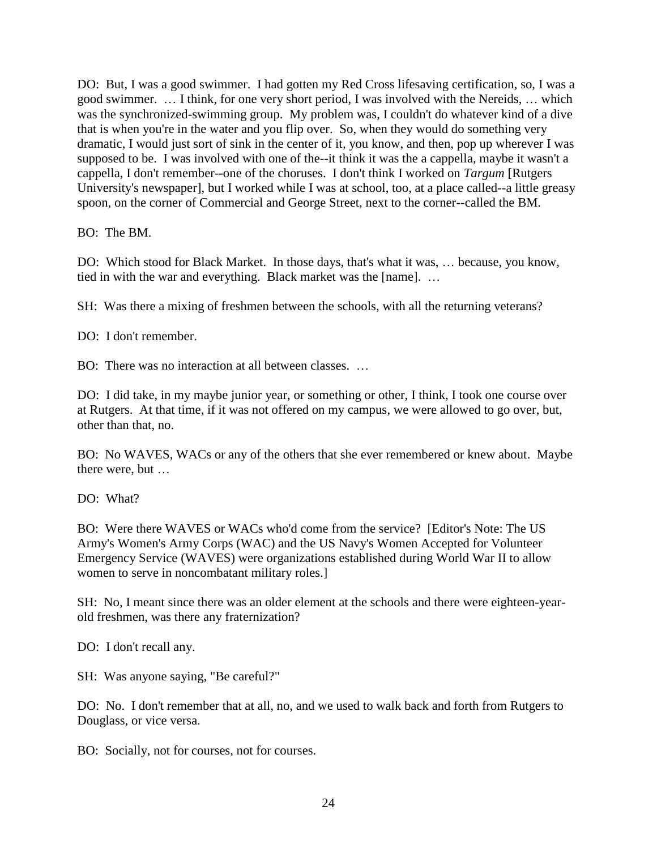DO: But, I was a good swimmer. I had gotten my Red Cross lifesaving certification, so, I was a good swimmer. … I think, for one very short period, I was involved with the Nereids, … which was the synchronized-swimming group. My problem was, I couldn't do whatever kind of a dive that is when you're in the water and you flip over. So, when they would do something very dramatic, I would just sort of sink in the center of it, you know, and then, pop up wherever I was supposed to be. I was involved with one of the--it think it was the a cappella, maybe it wasn't a cappella, I don't remember--one of the choruses. I don't think I worked on *Targum* [Rutgers University's newspaper], but I worked while I was at school, too, at a place called--a little greasy spoon, on the corner of Commercial and George Street, next to the corner--called the BM.

BO: The BM.

DO: Which stood for Black Market. In those days, that's what it was, … because, you know, tied in with the war and everything. Black market was the [name]. …

SH: Was there a mixing of freshmen between the schools, with all the returning veterans?

DO: I don't remember.

BO: There was no interaction at all between classes. …

DO: I did take, in my maybe junior year, or something or other, I think, I took one course over at Rutgers. At that time, if it was not offered on my campus, we were allowed to go over, but, other than that, no.

BO: No WAVES, WACs or any of the others that she ever remembered or knew about. Maybe there were, but …

DO: What?

BO: Were there WAVES or WACs who'd come from the service? [Editor's Note: The US Army's Women's Army Corps (WAC) and the US Navy's Women Accepted for Volunteer Emergency Service (WAVES) were organizations established during World War II to allow women to serve in noncombatant military roles.]

SH: No, I meant since there was an older element at the schools and there were eighteen-yearold freshmen, was there any fraternization?

DO: I don't recall any.

SH: Was anyone saying, "Be careful?"

DO: No. I don't remember that at all, no, and we used to walk back and forth from Rutgers to Douglass, or vice versa.

BO: Socially, not for courses, not for courses.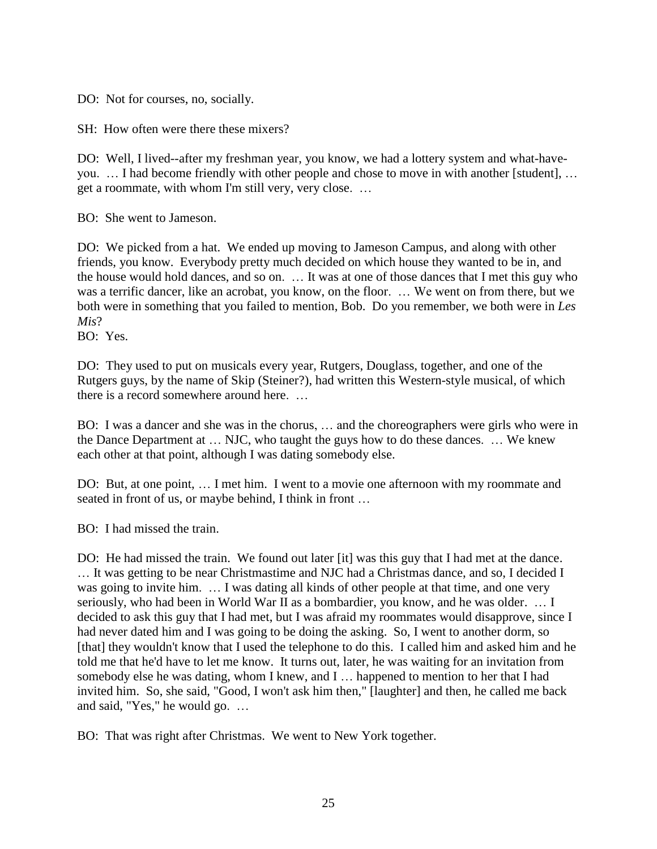DO: Not for courses, no, socially.

SH: How often were there these mixers?

DO: Well, I lived--after my freshman year, you know, we had a lottery system and what-haveyou. … I had become friendly with other people and chose to move in with another [student], … get a roommate, with whom I'm still very, very close. …

BO: She went to Jameson.

DO: We picked from a hat. We ended up moving to Jameson Campus, and along with other friends, you know. Everybody pretty much decided on which house they wanted to be in, and the house would hold dances, and so on. … It was at one of those dances that I met this guy who was a terrific dancer, like an acrobat, you know, on the floor. … We went on from there, but we both were in something that you failed to mention, Bob. Do you remember, we both were in *Les Mis*?

BO: Yes.

DO: They used to put on musicals every year, Rutgers, Douglass, together, and one of the Rutgers guys, by the name of Skip (Steiner?), had written this Western-style musical, of which there is a record somewhere around here. …

BO: I was a dancer and she was in the chorus, … and the choreographers were girls who were in the Dance Department at … NJC, who taught the guys how to do these dances. … We knew each other at that point, although I was dating somebody else.

DO: But, at one point, … I met him. I went to a movie one afternoon with my roommate and seated in front of us, or maybe behind, I think in front …

BO: I had missed the train.

DO: He had missed the train. We found out later [it] was this guy that I had met at the dance. … It was getting to be near Christmastime and NJC had a Christmas dance, and so, I decided I was going to invite him. … I was dating all kinds of other people at that time, and one very seriously, who had been in World War II as a bombardier, you know, and he was older. … I decided to ask this guy that I had met, but I was afraid my roommates would disapprove, since I had never dated him and I was going to be doing the asking. So, I went to another dorm, so [that] they wouldn't know that I used the telephone to do this. I called him and asked him and he told me that he'd have to let me know. It turns out, later, he was waiting for an invitation from somebody else he was dating, whom I knew, and I … happened to mention to her that I had invited him. So, she said, "Good, I won't ask him then," [laughter] and then, he called me back and said, "Yes," he would go. …

BO: That was right after Christmas. We went to New York together.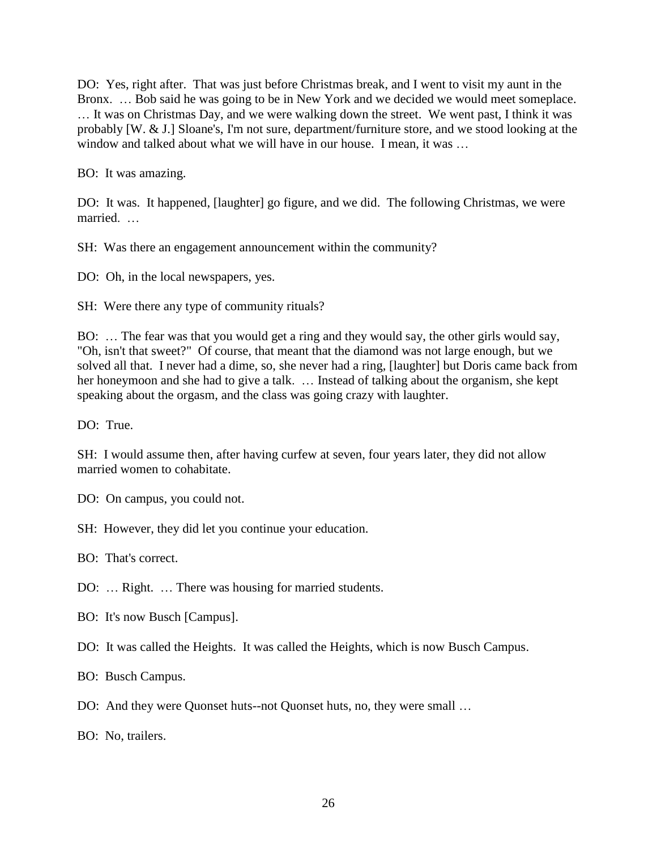DO: Yes, right after. That was just before Christmas break, and I went to visit my aunt in the Bronx. … Bob said he was going to be in New York and we decided we would meet someplace. … It was on Christmas Day, and we were walking down the street. We went past, I think it was probably [W. & J.] Sloane's, I'm not sure, department/furniture store, and we stood looking at the window and talked about what we will have in our house. I mean, it was …

BO: It was amazing.

DO: It was. It happened, [laughter] go figure, and we did. The following Christmas, we were married. …

SH: Was there an engagement announcement within the community?

DO: Oh, in the local newspapers, yes.

SH: Were there any type of community rituals?

BO: … The fear was that you would get a ring and they would say, the other girls would say, "Oh, isn't that sweet?" Of course, that meant that the diamond was not large enough, but we solved all that. I never had a dime, so, she never had a ring, [laughter] but Doris came back from her honeymoon and she had to give a talk. … Instead of talking about the organism, she kept speaking about the orgasm, and the class was going crazy with laughter.

DO: True.

SH: I would assume then, after having curfew at seven, four years later, they did not allow married women to cohabitate.

DO: On campus, you could not.

SH: However, they did let you continue your education.

BO: That's correct.

DO: … Right. … There was housing for married students.

BO: It's now Busch [Campus].

DO: It was called the Heights. It was called the Heights, which is now Busch Campus.

BO: Busch Campus.

DO: And they were Quonset huts--not Quonset huts, no, they were small …

BO: No, trailers.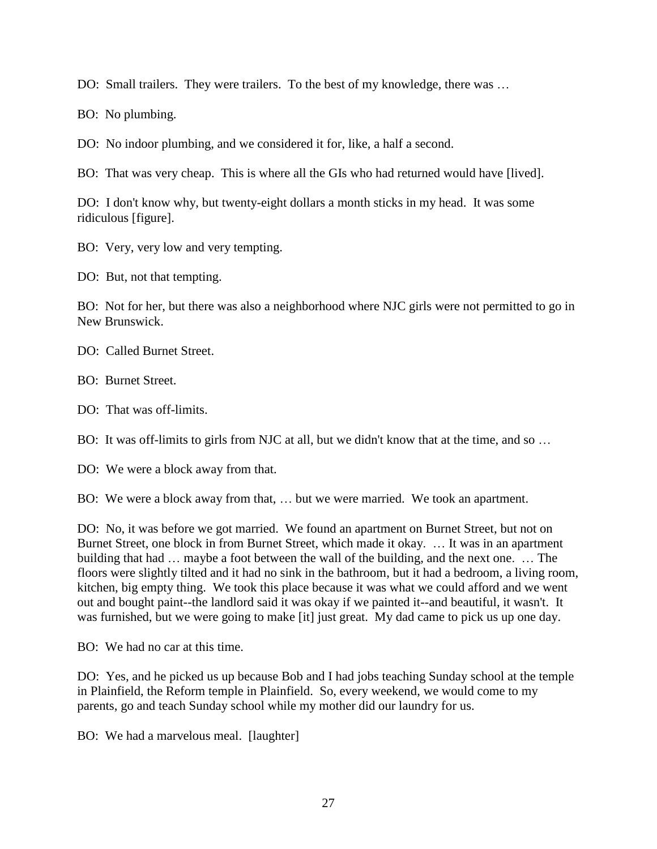DO: Small trailers. They were trailers. To the best of my knowledge, there was …

BO: No plumbing.

DO: No indoor plumbing, and we considered it for, like, a half a second.

BO: That was very cheap. This is where all the GIs who had returned would have [lived].

DO: I don't know why, but twenty-eight dollars a month sticks in my head. It was some ridiculous [figure].

BO: Very, very low and very tempting.

DO: But, not that tempting.

BO: Not for her, but there was also a neighborhood where NJC girls were not permitted to go in New Brunswick.

DO: Called Burnet Street.

BO: Burnet Street.

DO: That was off-limits.

BO: It was off-limits to girls from NJC at all, but we didn't know that at the time, and so ...

DO: We were a block away from that.

BO: We were a block away from that, … but we were married. We took an apartment.

DO: No, it was before we got married. We found an apartment on Burnet Street, but not on Burnet Street, one block in from Burnet Street, which made it okay. … It was in an apartment building that had … maybe a foot between the wall of the building, and the next one. … The floors were slightly tilted and it had no sink in the bathroom, but it had a bedroom, a living room, kitchen, big empty thing. We took this place because it was what we could afford and we went out and bought paint--the landlord said it was okay if we painted it--and beautiful, it wasn't. It was furnished, but we were going to make [it] just great. My dad came to pick us up one day.

BO: We had no car at this time.

DO: Yes, and he picked us up because Bob and I had jobs teaching Sunday school at the temple in Plainfield, the Reform temple in Plainfield. So, every weekend, we would come to my parents, go and teach Sunday school while my mother did our laundry for us.

BO: We had a marvelous meal. [laughter]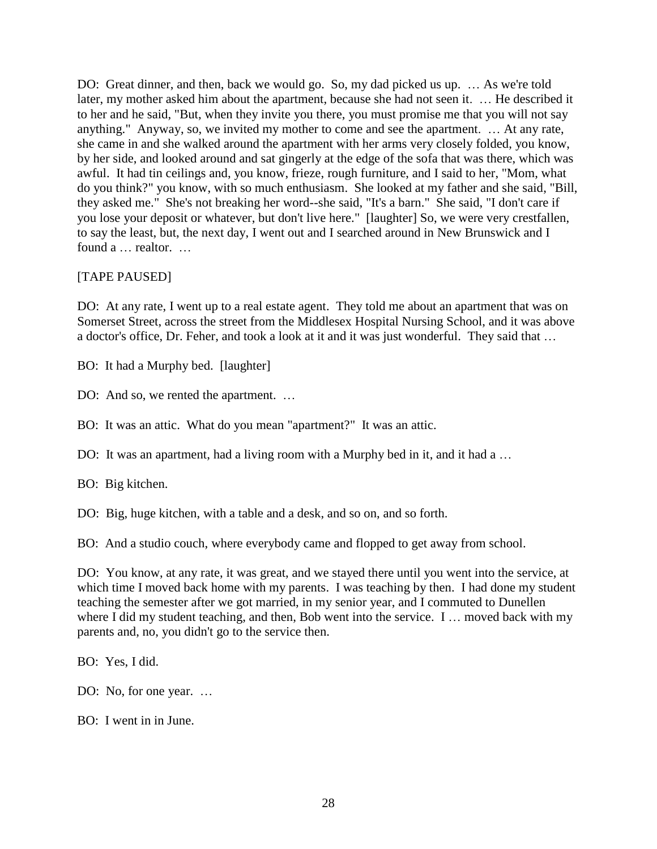DO: Great dinner, and then, back we would go. So, my dad picked us up. … As we're told later, my mother asked him about the apartment, because she had not seen it. … He described it to her and he said, "But, when they invite you there, you must promise me that you will not say anything." Anyway, so, we invited my mother to come and see the apartment. … At any rate, she came in and she walked around the apartment with her arms very closely folded, you know, by her side, and looked around and sat gingerly at the edge of the sofa that was there, which was awful. It had tin ceilings and, you know, frieze, rough furniture, and I said to her, "Mom, what do you think?" you know, with so much enthusiasm. She looked at my father and she said, "Bill, they asked me." She's not breaking her word--she said, "It's a barn." She said, "I don't care if you lose your deposit or whatever, but don't live here." [laughter] So, we were very crestfallen, to say the least, but, the next day, I went out and I searched around in New Brunswick and I found a … realtor. …

## [TAPE PAUSED]

DO: At any rate, I went up to a real estate agent. They told me about an apartment that was on Somerset Street, across the street from the Middlesex Hospital Nursing School, and it was above a doctor's office, Dr. Feher, and took a look at it and it was just wonderful. They said that …

BO: It had a Murphy bed. [laughter]

DO: And so, we rented the apartment. ...

BO: It was an attic. What do you mean "apartment?" It was an attic.

DO: It was an apartment, had a living room with a Murphy bed in it, and it had a ...

BO: Big kitchen.

DO: Big, huge kitchen, with a table and a desk, and so on, and so forth.

BO: And a studio couch, where everybody came and flopped to get away from school.

DO: You know, at any rate, it was great, and we stayed there until you went into the service, at which time I moved back home with my parents. I was teaching by then. I had done my student teaching the semester after we got married, in my senior year, and I commuted to Dunellen where I did my student teaching, and then, Bob went into the service. I ... moved back with my parents and, no, you didn't go to the service then.

BO: Yes, I did.

DO: No, for one year. ...

BO: I went in in June.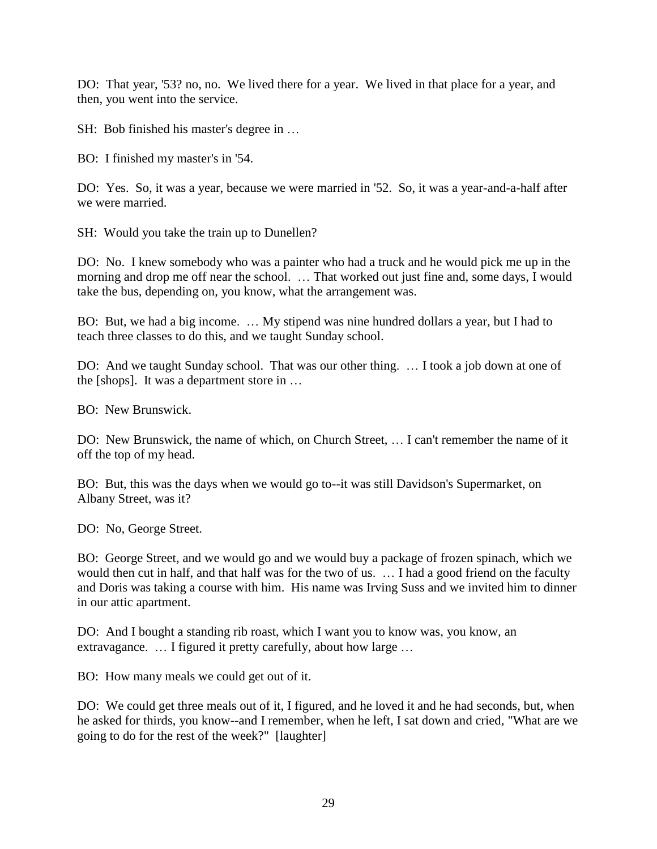DO: That year, '53? no, no. We lived there for a year. We lived in that place for a year, and then, you went into the service.

SH: Bob finished his master's degree in …

BO: I finished my master's in '54.

DO: Yes. So, it was a year, because we were married in '52. So, it was a year-and-a-half after we were married.

SH: Would you take the train up to Dunellen?

DO: No. I knew somebody who was a painter who had a truck and he would pick me up in the morning and drop me off near the school. … That worked out just fine and, some days, I would take the bus, depending on, you know, what the arrangement was.

BO: But, we had a big income. … My stipend was nine hundred dollars a year, but I had to teach three classes to do this, and we taught Sunday school.

DO: And we taught Sunday school. That was our other thing. … I took a job down at one of the [shops]. It was a department store in …

BO: New Brunswick.

DO: New Brunswick, the name of which, on Church Street, … I can't remember the name of it off the top of my head.

BO: But, this was the days when we would go to--it was still Davidson's Supermarket, on Albany Street, was it?

DO: No, George Street.

BO: George Street, and we would go and we would buy a package of frozen spinach, which we would then cut in half, and that half was for the two of us. … I had a good friend on the faculty and Doris was taking a course with him. His name was Irving Suss and we invited him to dinner in our attic apartment.

DO: And I bought a standing rib roast, which I want you to know was, you know, an extravagance. ... I figured it pretty carefully, about how large ...

BO: How many meals we could get out of it.

DO: We could get three meals out of it, I figured, and he loved it and he had seconds, but, when he asked for thirds, you know--and I remember, when he left, I sat down and cried, "What are we going to do for the rest of the week?" [laughter]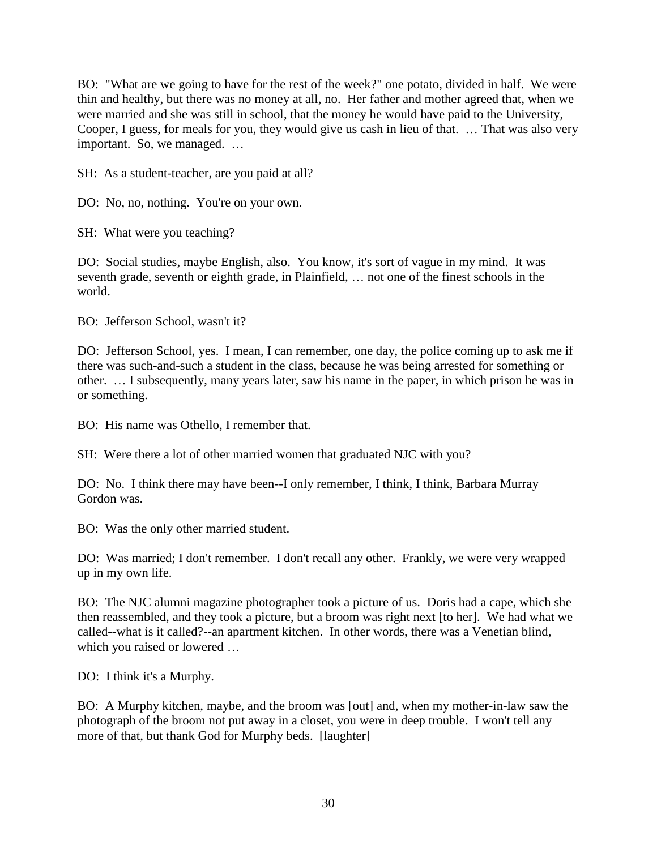BO: "What are we going to have for the rest of the week?" one potato, divided in half. We were thin and healthy, but there was no money at all, no. Her father and mother agreed that, when we were married and she was still in school, that the money he would have paid to the University, Cooper, I guess, for meals for you, they would give us cash in lieu of that. … That was also very important. So, we managed. …

SH: As a student-teacher, are you paid at all?

DO: No, no, nothing. You're on your own.

SH: What were you teaching?

DO: Social studies, maybe English, also. You know, it's sort of vague in my mind. It was seventh grade, seventh or eighth grade, in Plainfield, … not one of the finest schools in the world.

BO: Jefferson School, wasn't it?

DO: Jefferson School, yes. I mean, I can remember, one day, the police coming up to ask me if there was such-and-such a student in the class, because he was being arrested for something or other. … I subsequently, many years later, saw his name in the paper, in which prison he was in or something.

BO: His name was Othello, I remember that.

SH: Were there a lot of other married women that graduated NJC with you?

DO: No. I think there may have been--I only remember, I think, I think, Barbara Murray Gordon was.

BO: Was the only other married student.

DO: Was married; I don't remember. I don't recall any other. Frankly, we were very wrapped up in my own life.

BO: The NJC alumni magazine photographer took a picture of us. Doris had a cape, which she then reassembled, and they took a picture, but a broom was right next [to her]. We had what we called--what is it called?--an apartment kitchen. In other words, there was a Venetian blind, which you raised or lowered …

DO: I think it's a Murphy.

BO: A Murphy kitchen, maybe, and the broom was [out] and, when my mother-in-law saw the photograph of the broom not put away in a closet, you were in deep trouble. I won't tell any more of that, but thank God for Murphy beds. [laughter]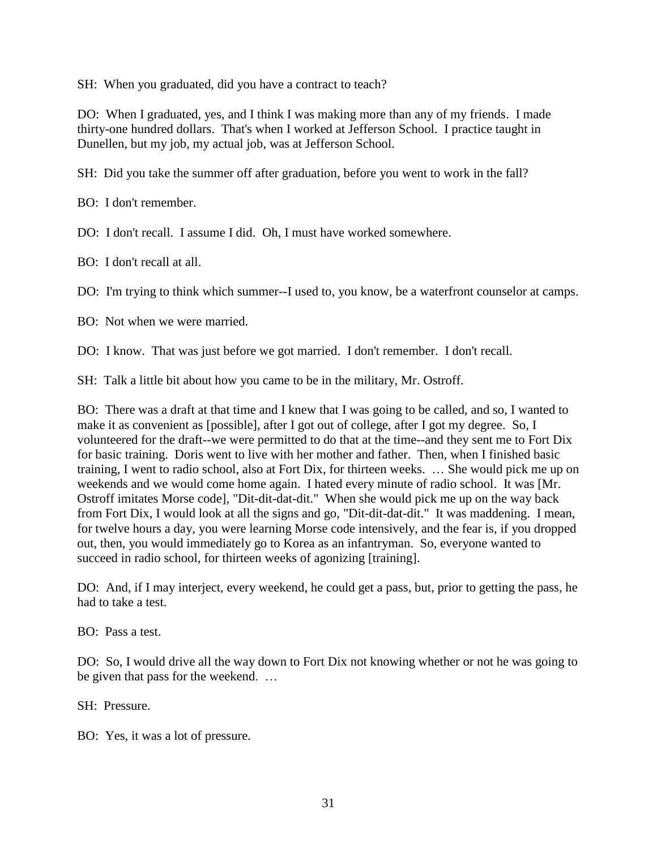SH: When you graduated, did you have a contract to teach?

DO: When I graduated, yes, and I think I was making more than any of my friends. I made thirty-one hundred dollars. That's when I worked at Jefferson School. I practice taught in Dunellen, but my job, my actual job, was at Jefferson School.

SH: Did you take the summer off after graduation, before you went to work in the fall?

BO: I don't remember.

DO: I don't recall. I assume I did. Oh, I must have worked somewhere.

BO: I don't recall at all.

DO: I'm trying to think which summer--I used to, you know, be a waterfront counselor at camps.

BO: Not when we were married.

DO: I know. That was just before we got married. I don't remember. I don't recall.

SH: Talk a little bit about how you came to be in the military, Mr. Ostroff.

BO: There was a draft at that time and I knew that I was going to be called, and so, I wanted to make it as convenient as [possible], after I got out of college, after I got my degree. So, I volunteered for the draft--we were permitted to do that at the time--and they sent me to Fort Dix for basic training. Doris went to live with her mother and father. Then, when I finished basic training, I went to radio school, also at Fort Dix, for thirteen weeks. … She would pick me up on weekends and we would come home again. I hated every minute of radio school. It was [Mr. Ostroff imitates Morse code], "Dit-dit-dat-dit." When she would pick me up on the way back from Fort Dix, I would look at all the signs and go, "Dit-dit-dat-dit." It was maddening. I mean, for twelve hours a day, you were learning Morse code intensively, and the fear is, if you dropped out, then, you would immediately go to Korea as an infantryman. So, everyone wanted to succeed in radio school, for thirteen weeks of agonizing [training].

DO: And, if I may interject, every weekend, he could get a pass, but, prior to getting the pass, he had to take a test.

BO: Pass a test.

DO: So, I would drive all the way down to Fort Dix not knowing whether or not he was going to be given that pass for the weekend. …

SH: Pressure.

BO: Yes, it was a lot of pressure.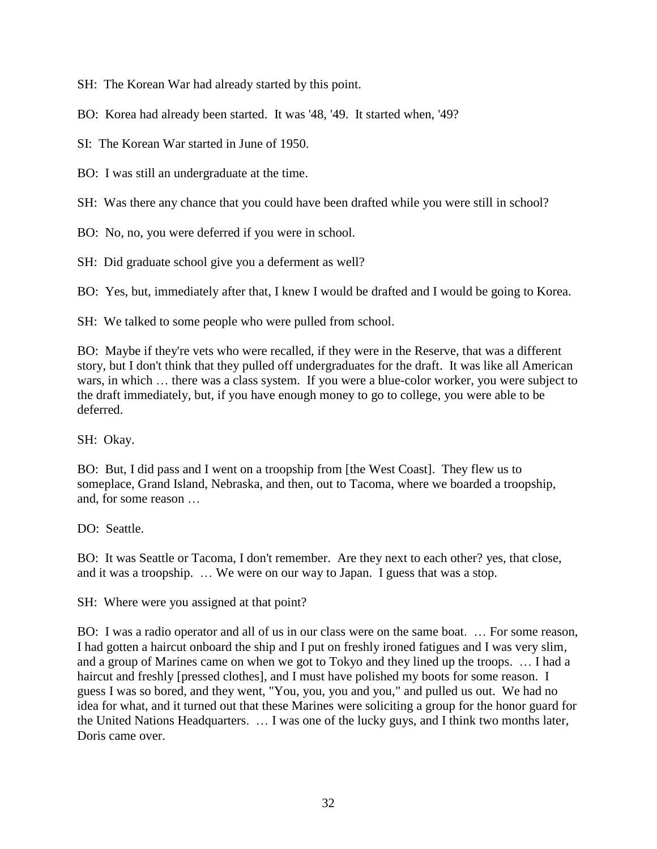SH: The Korean War had already started by this point.

BO: Korea had already been started. It was '48, '49. It started when, '49?

SI: The Korean War started in June of 1950.

BO: I was still an undergraduate at the time.

SH: Was there any chance that you could have been drafted while you were still in school?

BO: No, no, you were deferred if you were in school.

SH: Did graduate school give you a deferment as well?

BO: Yes, but, immediately after that, I knew I would be drafted and I would be going to Korea.

SH: We talked to some people who were pulled from school.

BO: Maybe if they're vets who were recalled, if they were in the Reserve, that was a different story, but I don't think that they pulled off undergraduates for the draft. It was like all American wars, in which … there was a class system. If you were a blue-color worker, you were subject to the draft immediately, but, if you have enough money to go to college, you were able to be deferred.

SH: Okay.

BO: But, I did pass and I went on a troopship from [the West Coast]. They flew us to someplace, Grand Island, Nebraska, and then, out to Tacoma, where we boarded a troopship, and, for some reason …

DO: Seattle

BO: It was Seattle or Tacoma, I don't remember. Are they next to each other? yes, that close, and it was a troopship. … We were on our way to Japan. I guess that was a stop.

SH: Where were you assigned at that point?

BO: I was a radio operator and all of us in our class were on the same boat. … For some reason, I had gotten a haircut onboard the ship and I put on freshly ironed fatigues and I was very slim, and a group of Marines came on when we got to Tokyo and they lined up the troops. … I had a haircut and freshly [pressed clothes], and I must have polished my boots for some reason. I guess I was so bored, and they went, "You, you, you and you," and pulled us out. We had no idea for what, and it turned out that these Marines were soliciting a group for the honor guard for the United Nations Headquarters. … I was one of the lucky guys, and I think two months later, Doris came over.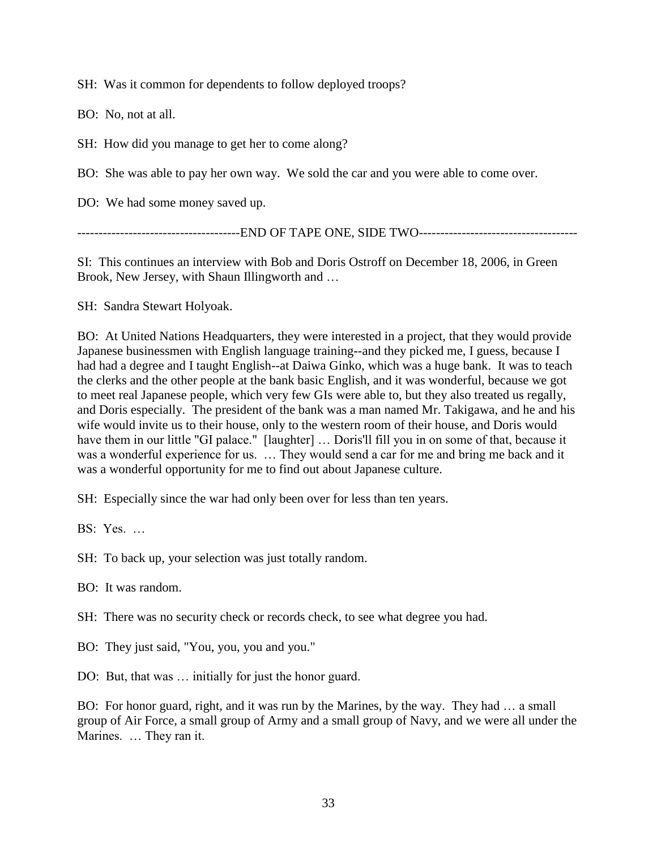SH: Was it common for dependents to follow deployed troops?

BO: No, not at all.

SH: How did you manage to get her to come along?

BO: She was able to pay her own way. We sold the car and you were able to come over.

DO: We had some money saved up.

-----------------------------END OF TAPE ONE, SIDE TWO--------------------------------

SI: This continues an interview with Bob and Doris Ostroff on December 18, 2006, in Green Brook, New Jersey, with Shaun Illingworth and …

SH: Sandra Stewart Holyoak.

BO: At United Nations Headquarters, they were interested in a project, that they would provide Japanese businessmen with English language training--and they picked me, I guess, because I had had a degree and I taught English--at Daiwa Ginko, which was a huge bank. It was to teach the clerks and the other people at the bank basic English, and it was wonderful, because we got to meet real Japanese people, which very few GIs were able to, but they also treated us regally, and Doris especially. The president of the bank was a man named Mr. Takigawa, and he and his wife would invite us to their house, only to the western room of their house, and Doris would have them in our little "GI palace." [laughter] … Doris'll fill you in on some of that, because it was a wonderful experience for us. … They would send a car for me and bring me back and it was a wonderful opportunity for me to find out about Japanese culture.

SH: Especially since the war had only been over for less than ten years.

BS: Yes. …

SH: To back up, your selection was just totally random.

BO: It was random.

SH: There was no security check or records check, to see what degree you had.

BO: They just said, "You, you, you and you."

DO: But, that was … initially for just the honor guard.

BO: For honor guard, right, and it was run by the Marines, by the way. They had … a small group of Air Force, a small group of Army and a small group of Navy, and we were all under the Marines. … They ran it.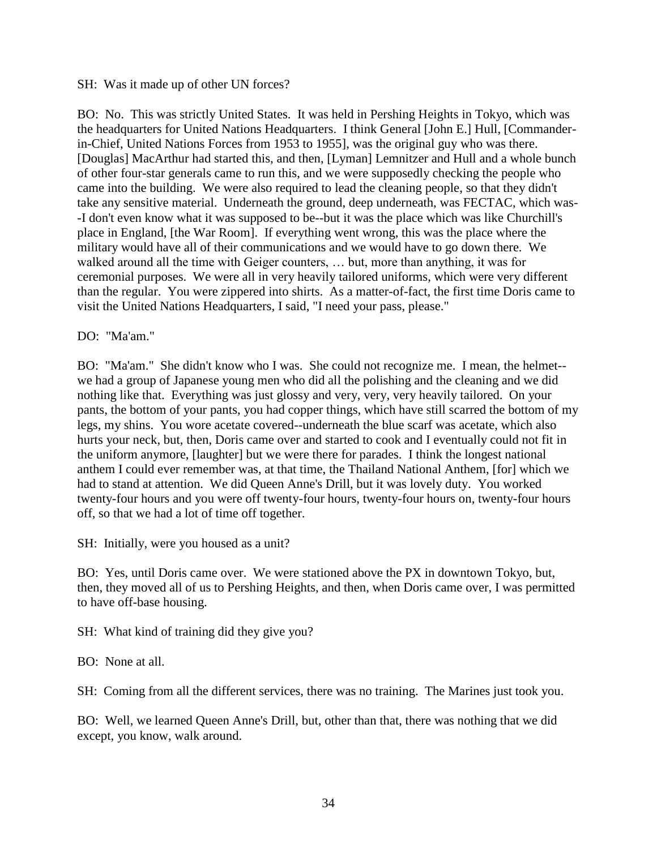#### SH: Was it made up of other UN forces?

BO: No. This was strictly United States. It was held in Pershing Heights in Tokyo, which was the headquarters for United Nations Headquarters. I think General [John E.] Hull, [Commanderin-Chief, United Nations Forces from 1953 to 1955], was the original guy who was there. [Douglas] MacArthur had started this, and then, [Lyman] Lemnitzer and Hull and a whole bunch of other four-star generals came to run this, and we were supposedly checking the people who came into the building. We were also required to lead the cleaning people, so that they didn't take any sensitive material. Underneath the ground, deep underneath, was FECTAC, which was- -I don't even know what it was supposed to be--but it was the place which was like Churchill's place in England, [the War Room]. If everything went wrong, this was the place where the military would have all of their communications and we would have to go down there. We walked around all the time with Geiger counters, … but, more than anything, it was for ceremonial purposes. We were all in very heavily tailored uniforms, which were very different than the regular. You were zippered into shirts. As a matter-of-fact, the first time Doris came to visit the United Nations Headquarters, I said, "I need your pass, please."

#### DO: "Ma'am."

BO: "Ma'am." She didn't know who I was. She could not recognize me. I mean, the helmet- we had a group of Japanese young men who did all the polishing and the cleaning and we did nothing like that. Everything was just glossy and very, very, very heavily tailored. On your pants, the bottom of your pants, you had copper things, which have still scarred the bottom of my legs, my shins. You wore acetate covered--underneath the blue scarf was acetate, which also hurts your neck, but, then, Doris came over and started to cook and I eventually could not fit in the uniform anymore, [laughter] but we were there for parades. I think the longest national anthem I could ever remember was, at that time, the Thailand National Anthem, [for] which we had to stand at attention. We did Queen Anne's Drill, but it was lovely duty. You worked twenty-four hours and you were off twenty-four hours, twenty-four hours on, twenty-four hours off, so that we had a lot of time off together.

SH: Initially, were you housed as a unit?

BO: Yes, until Doris came over. We were stationed above the PX in downtown Tokyo, but, then, they moved all of us to Pershing Heights, and then, when Doris came over, I was permitted to have off-base housing.

SH: What kind of training did they give you?

BO: None at all.

SH: Coming from all the different services, there was no training. The Marines just took you.

BO: Well, we learned Queen Anne's Drill, but, other than that, there was nothing that we did except, you know, walk around.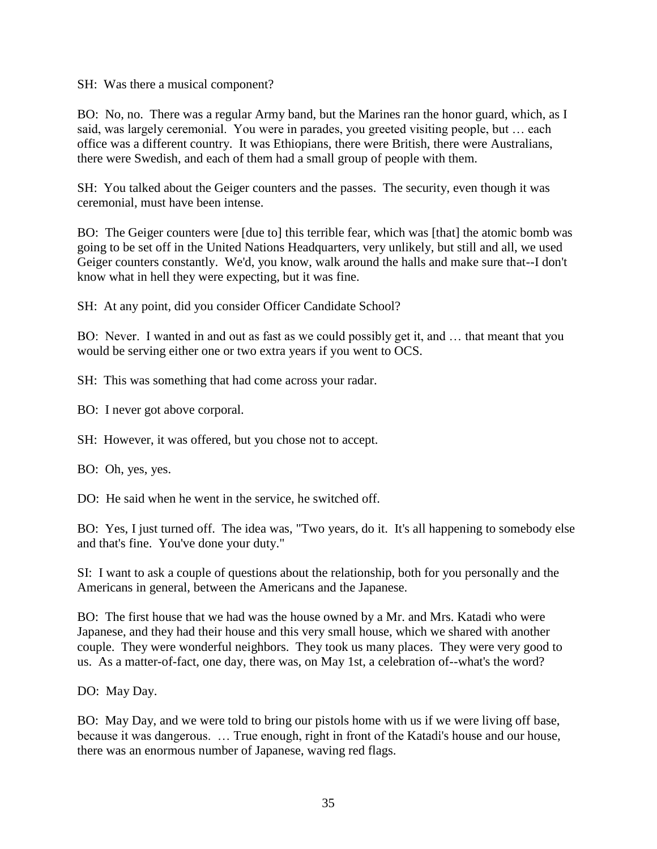SH: Was there a musical component?

BO: No, no. There was a regular Army band, but the Marines ran the honor guard, which, as I said, was largely ceremonial. You were in parades, you greeted visiting people, but … each office was a different country. It was Ethiopians, there were British, there were Australians, there were Swedish, and each of them had a small group of people with them.

SH: You talked about the Geiger counters and the passes. The security, even though it was ceremonial, must have been intense.

BO: The Geiger counters were [due to] this terrible fear, which was [that] the atomic bomb was going to be set off in the United Nations Headquarters, very unlikely, but still and all, we used Geiger counters constantly. We'd, you know, walk around the halls and make sure that--I don't know what in hell they were expecting, but it was fine.

SH: At any point, did you consider Officer Candidate School?

BO: Never. I wanted in and out as fast as we could possibly get it, and … that meant that you would be serving either one or two extra years if you went to OCS.

SH: This was something that had come across your radar.

BO: I never got above corporal.

SH: However, it was offered, but you chose not to accept.

BO: Oh, yes, yes.

DO: He said when he went in the service, he switched off.

BO: Yes, I just turned off. The idea was, "Two years, do it. It's all happening to somebody else and that's fine. You've done your duty."

SI: I want to ask a couple of questions about the relationship, both for you personally and the Americans in general, between the Americans and the Japanese.

BO: The first house that we had was the house owned by a Mr. and Mrs. Katadi who were Japanese, and they had their house and this very small house, which we shared with another couple. They were wonderful neighbors. They took us many places. They were very good to us. As a matter-of-fact, one day, there was, on May 1st, a celebration of--what's the word?

DO: May Day.

BO: May Day, and we were told to bring our pistols home with us if we were living off base, because it was dangerous. … True enough, right in front of the Katadi's house and our house, there was an enormous number of Japanese, waving red flags.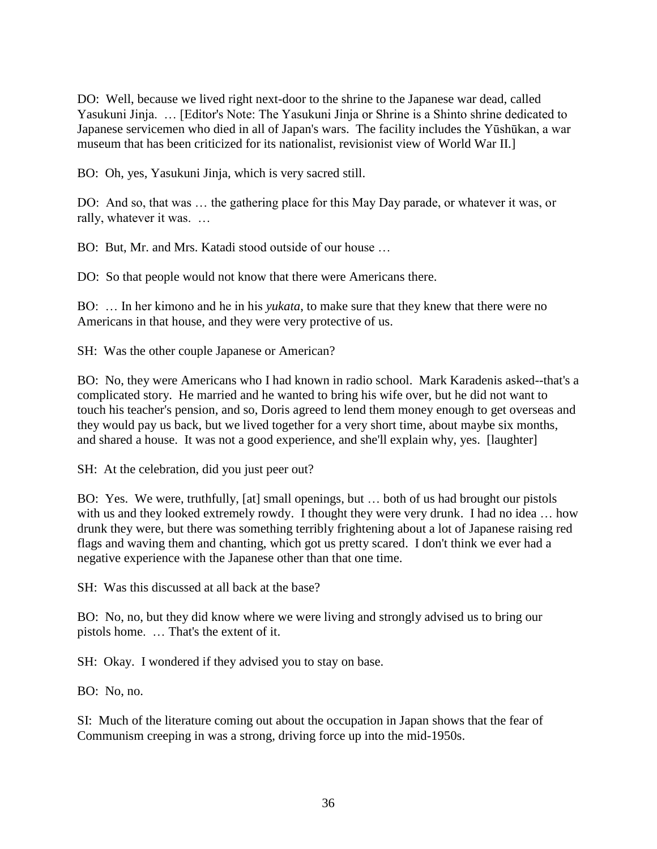DO: Well, because we lived right next-door to the shrine to the Japanese war dead, called Yasukuni Jinja. … [Editor's Note: The Yasukuni Jinja or Shrine is a Shinto shrine dedicated to Japanese servicemen who died in all of Japan's wars. The facility includes the Yūshūkan, a war museum that has been criticized for its nationalist, revisionist view of World War II.]

BO: Oh, yes, Yasukuni Jinja, which is very sacred still.

DO: And so, that was … the gathering place for this May Day parade, or whatever it was, or rally, whatever it was. …

BO: But, Mr. and Mrs. Katadi stood outside of our house …

DO: So that people would not know that there were Americans there.

BO: … In her kimono and he in his *yukata*, to make sure that they knew that there were no Americans in that house, and they were very protective of us.

SH: Was the other couple Japanese or American?

BO: No, they were Americans who I had known in radio school. Mark Karadenis asked--that's a complicated story. He married and he wanted to bring his wife over, but he did not want to touch his teacher's pension, and so, Doris agreed to lend them money enough to get overseas and they would pay us back, but we lived together for a very short time, about maybe six months, and shared a house. It was not a good experience, and she'll explain why, yes. [laughter]

SH: At the celebration, did you just peer out?

BO: Yes. We were, truthfully, [at] small openings, but … both of us had brought our pistols with us and they looked extremely rowdy. I thought they were very drunk. I had no idea … how drunk they were, but there was something terribly frightening about a lot of Japanese raising red flags and waving them and chanting, which got us pretty scared. I don't think we ever had a negative experience with the Japanese other than that one time.

SH: Was this discussed at all back at the base?

BO: No, no, but they did know where we were living and strongly advised us to bring our pistols home. … That's the extent of it.

SH: Okay. I wondered if they advised you to stay on base.

BO: No, no.

SI: Much of the literature coming out about the occupation in Japan shows that the fear of Communism creeping in was a strong, driving force up into the mid-1950s.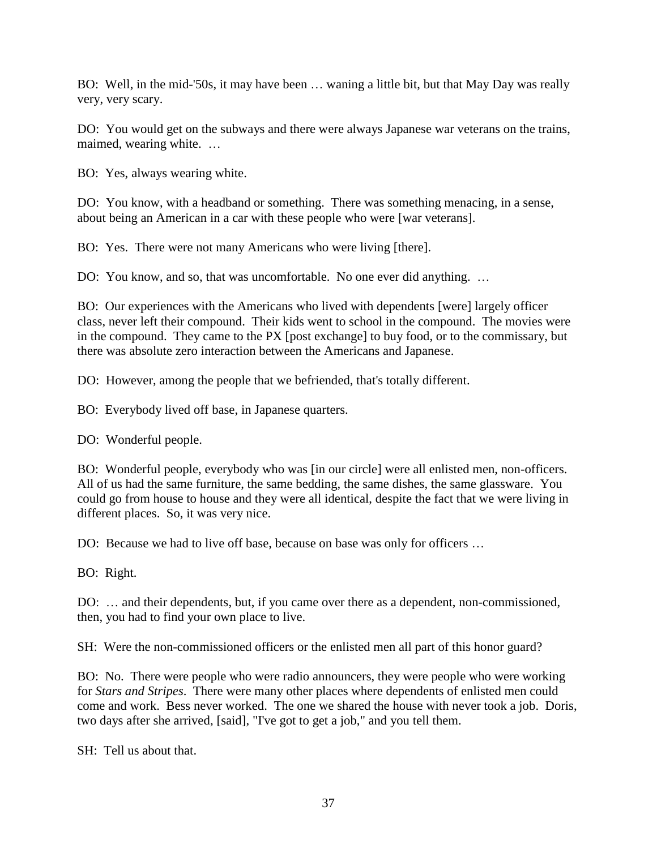BO: Well, in the mid-'50s, it may have been … waning a little bit, but that May Day was really very, very scary.

DO: You would get on the subways and there were always Japanese war veterans on the trains, maimed, wearing white. …

BO: Yes, always wearing white.

DO: You know, with a headband or something. There was something menacing, in a sense, about being an American in a car with these people who were [war veterans].

BO: Yes. There were not many Americans who were living [there].

DO: You know, and so, that was uncomfortable. No one ever did anything. …

BO: Our experiences with the Americans who lived with dependents [were] largely officer class, never left their compound. Their kids went to school in the compound. The movies were in the compound. They came to the PX [post exchange] to buy food, or to the commissary, but there was absolute zero interaction between the Americans and Japanese.

DO: However, among the people that we befriended, that's totally different.

BO: Everybody lived off base, in Japanese quarters.

DO: Wonderful people.

BO: Wonderful people, everybody who was [in our circle] were all enlisted men, non-officers. All of us had the same furniture, the same bedding, the same dishes, the same glassware. You could go from house to house and they were all identical, despite the fact that we were living in different places. So, it was very nice.

DO: Because we had to live off base, because on base was only for officers …

BO: Right.

DO: … and their dependents, but, if you came over there as a dependent, non-commissioned, then, you had to find your own place to live.

SH: Were the non-commissioned officers or the enlisted men all part of this honor guard?

BO: No. There were people who were radio announcers, they were people who were working for *Stars and Stripes*. There were many other places where dependents of enlisted men could come and work. Bess never worked. The one we shared the house with never took a job. Doris, two days after she arrived, [said], "I've got to get a job," and you tell them.

SH: Tell us about that.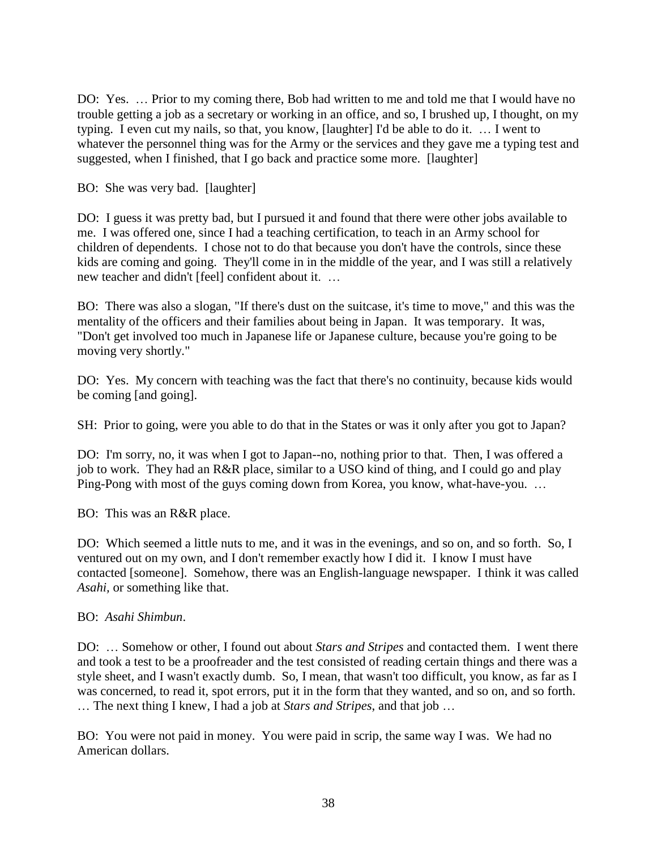DO: Yes. ... Prior to my coming there, Bob had written to me and told me that I would have no trouble getting a job as a secretary or working in an office, and so, I brushed up, I thought, on my typing. I even cut my nails, so that, you know, [laughter] I'd be able to do it. … I went to whatever the personnel thing was for the Army or the services and they gave me a typing test and suggested, when I finished, that I go back and practice some more. [laughter]

BO: She was very bad. [laughter]

DO: I guess it was pretty bad, but I pursued it and found that there were other jobs available to me. I was offered one, since I had a teaching certification, to teach in an Army school for children of dependents. I chose not to do that because you don't have the controls, since these kids are coming and going. They'll come in in the middle of the year, and I was still a relatively new teacher and didn't [feel] confident about it. …

BO: There was also a slogan, "If there's dust on the suitcase, it's time to move," and this was the mentality of the officers and their families about being in Japan. It was temporary. It was, "Don't get involved too much in Japanese life or Japanese culture, because you're going to be moving very shortly."

DO: Yes. My concern with teaching was the fact that there's no continuity, because kids would be coming [and going].

SH: Prior to going, were you able to do that in the States or was it only after you got to Japan?

DO: I'm sorry, no, it was when I got to Japan--no, nothing prior to that. Then, I was offered a job to work. They had an R&R place, similar to a USO kind of thing, and I could go and play Ping-Pong with most of the guys coming down from Korea, you know, what-have-you. …

BO: This was an R&R place.

DO: Which seemed a little nuts to me, and it was in the evenings, and so on, and so forth. So, I ventured out on my own, and I don't remember exactly how I did it. I know I must have contacted [someone]. Somehow, there was an English-language newspaper. I think it was called *Asahi,* or something like that.

#### BO: *Asahi Shimbun*.

DO: … Somehow or other, I found out about *Stars and Stripes* and contacted them. I went there and took a test to be a proofreader and the test consisted of reading certain things and there was a style sheet, and I wasn't exactly dumb. So, I mean, that wasn't too difficult, you know, as far as I was concerned, to read it, spot errors, put it in the form that they wanted, and so on, and so forth. … The next thing I knew, I had a job at *Stars and Stripes*, and that job …

BO: You were not paid in money. You were paid in scrip, the same way I was. We had no American dollars.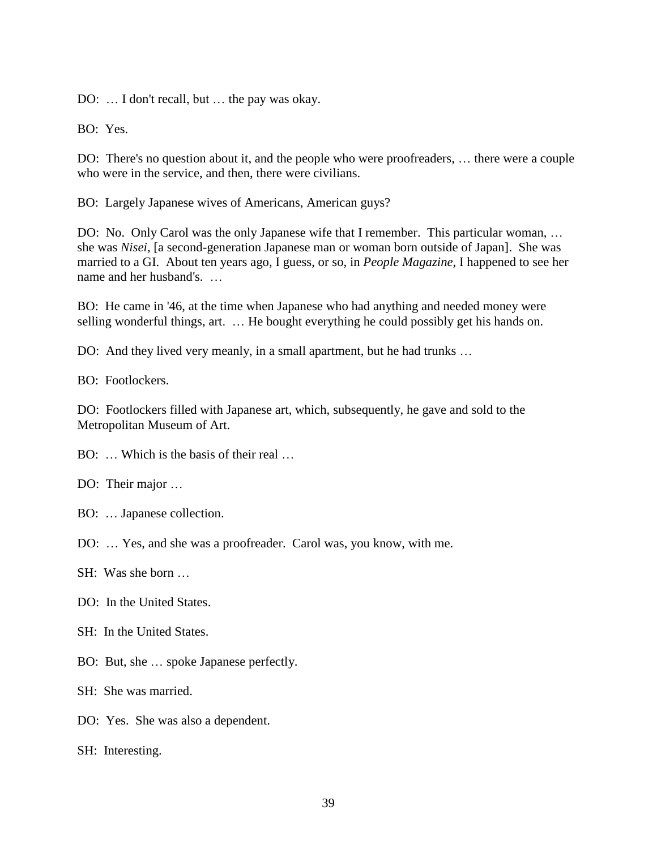DO: … I don't recall, but … the pay was okay.

BO: Yes.

DO: There's no question about it, and the people who were proofreaders, … there were a couple who were in the service, and then, there were civilians.

BO: Largely Japanese wives of Americans, American guys?

DO: No. Only Carol was the only Japanese wife that I remember. This particular woman, … she was *Nisei,* [a second-generation Japanese man or woman born outside of Japan]. She was married to a GI. About ten years ago, I guess, or so, in *People Magazine*, I happened to see her name and her husband's. …

BO: He came in '46, at the time when Japanese who had anything and needed money were selling wonderful things, art. … He bought everything he could possibly get his hands on.

DO: And they lived very meanly, in a small apartment, but he had trunks …

BO: Footlockers.

DO: Footlockers filled with Japanese art, which, subsequently, he gave and sold to the Metropolitan Museum of Art.

BO: ... Which is the basis of their real

DO: Their major …

- BO: … Japanese collection.
- DO: … Yes, and she was a proofreader. Carol was, you know, with me.
- SH: Was she born …
- DO: In the United States.
- SH: In the United States.
- BO: But, she … spoke Japanese perfectly.

SH: She was married.

DO: Yes. She was also a dependent.

SH: Interesting.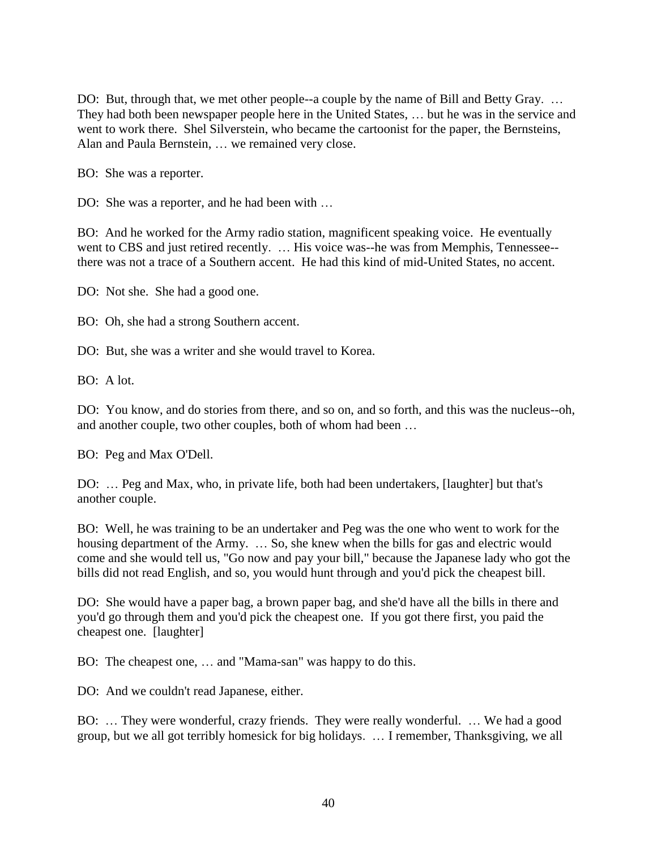DO: But, through that, we met other people--a couple by the name of Bill and Betty Gray. ... They had both been newspaper people here in the United States, … but he was in the service and went to work there. Shel Silverstein, who became the cartoonist for the paper, the Bernsteins, Alan and Paula Bernstein, … we remained very close.

BO: She was a reporter.

DO: She was a reporter, and he had been with ...

BO: And he worked for the Army radio station, magnificent speaking voice. He eventually went to CBS and just retired recently. … His voice was--he was from Memphis, Tennessee- there was not a trace of a Southern accent. He had this kind of mid-United States, no accent.

DO: Not she. She had a good one.

BO: Oh, she had a strong Southern accent.

DO: But, she was a writer and she would travel to Korea.

BO: A lot.

DO: You know, and do stories from there, and so on, and so forth, and this was the nucleus--oh, and another couple, two other couples, both of whom had been …

BO: Peg and Max O'Dell.

DO: … Peg and Max, who, in private life, both had been undertakers, [laughter] but that's another couple.

BO: Well, he was training to be an undertaker and Peg was the one who went to work for the housing department of the Army. ... So, she knew when the bills for gas and electric would come and she would tell us, "Go now and pay your bill," because the Japanese lady who got the bills did not read English, and so, you would hunt through and you'd pick the cheapest bill.

DO: She would have a paper bag, a brown paper bag, and she'd have all the bills in there and you'd go through them and you'd pick the cheapest one. If you got there first, you paid the cheapest one. [laughter]

BO: The cheapest one, … and "Mama-san" was happy to do this.

DO: And we couldn't read Japanese, either.

BO: … They were wonderful, crazy friends. They were really wonderful. … We had a good group, but we all got terribly homesick for big holidays. … I remember, Thanksgiving, we all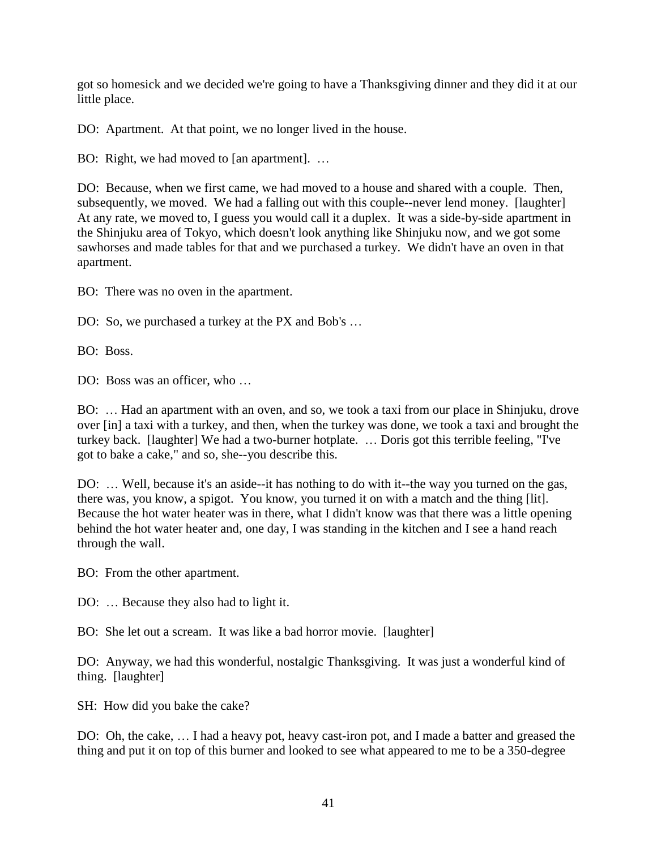got so homesick and we decided we're going to have a Thanksgiving dinner and they did it at our little place.

DO: Apartment. At that point, we no longer lived in the house.

BO: Right, we had moved to [an apartment]. ...

DO: Because, when we first came, we had moved to a house and shared with a couple. Then, subsequently, we moved. We had a falling out with this couple--never lend money. [laughter] At any rate, we moved to, I guess you would call it a duplex. It was a side-by-side apartment in the Shinjuku area of Tokyo, which doesn't look anything like Shinjuku now, and we got some sawhorses and made tables for that and we purchased a turkey. We didn't have an oven in that apartment.

BO: There was no oven in the apartment.

DO: So, we purchased a turkey at the PX and Bob's ...

BO: Boss.

DO: Boss was an officer, who …

BO: … Had an apartment with an oven, and so, we took a taxi from our place in Shinjuku, drove over [in] a taxi with a turkey, and then, when the turkey was done, we took a taxi and brought the turkey back. [laughter] We had a two-burner hotplate. … Doris got this terrible feeling, "I've got to bake a cake," and so, she--you describe this.

DO: … Well, because it's an aside--it has nothing to do with it--the way you turned on the gas, there was, you know, a spigot. You know, you turned it on with a match and the thing [lit]. Because the hot water heater was in there, what I didn't know was that there was a little opening behind the hot water heater and, one day, I was standing in the kitchen and I see a hand reach through the wall.

BO: From the other apartment.

DO: ... Because they also had to light it.

BO: She let out a scream. It was like a bad horror movie. [laughter]

DO: Anyway, we had this wonderful, nostalgic Thanksgiving. It was just a wonderful kind of thing. [laughter]

SH: How did you bake the cake?

DO: Oh, the cake, … I had a heavy pot, heavy cast-iron pot, and I made a batter and greased the thing and put it on top of this burner and looked to see what appeared to me to be a 350-degree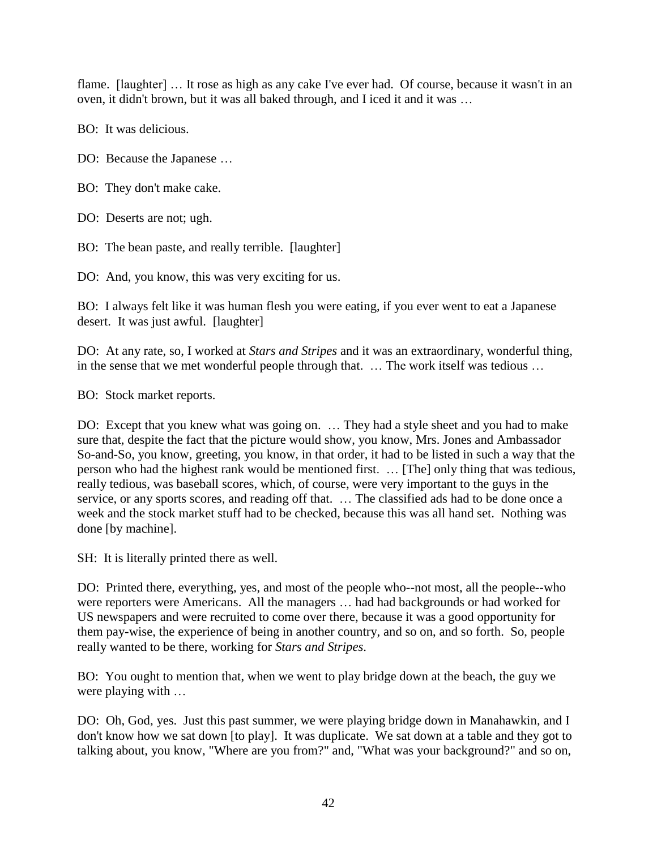flame. [laughter] … It rose as high as any cake I've ever had. Of course, because it wasn't in an oven, it didn't brown, but it was all baked through, and I iced it and it was …

BO: It was delicious.

DO: Because the Japanese …

BO: They don't make cake.

DO: Deserts are not; ugh.

BO: The bean paste, and really terrible. [laughter]

DO: And, you know, this was very exciting for us.

BO: I always felt like it was human flesh you were eating, if you ever went to eat a Japanese desert. It was just awful. [laughter]

DO: At any rate, so, I worked at *Stars and Stripes* and it was an extraordinary, wonderful thing, in the sense that we met wonderful people through that. … The work itself was tedious …

BO: Stock market reports.

DO: Except that you knew what was going on. … They had a style sheet and you had to make sure that, despite the fact that the picture would show, you know, Mrs. Jones and Ambassador So-and-So, you know, greeting, you know, in that order, it had to be listed in such a way that the person who had the highest rank would be mentioned first. … [The] only thing that was tedious, really tedious, was baseball scores, which, of course, were very important to the guys in the service, or any sports scores, and reading off that. … The classified ads had to be done once a week and the stock market stuff had to be checked, because this was all hand set. Nothing was done [by machine].

SH: It is literally printed there as well.

DO: Printed there, everything, yes, and most of the people who--not most, all the people--who were reporters were Americans. All the managers … had had backgrounds or had worked for US newspapers and were recruited to come over there, because it was a good opportunity for them pay-wise, the experience of being in another country, and so on, and so forth. So, people really wanted to be there, working for *Stars and Stripes*.

BO: You ought to mention that, when we went to play bridge down at the beach, the guy we were playing with …

DO: Oh, God, yes. Just this past summer, we were playing bridge down in Manahawkin, and I don't know how we sat down [to play]. It was duplicate. We sat down at a table and they got to talking about, you know, "Where are you from?" and, "What was your background?" and so on,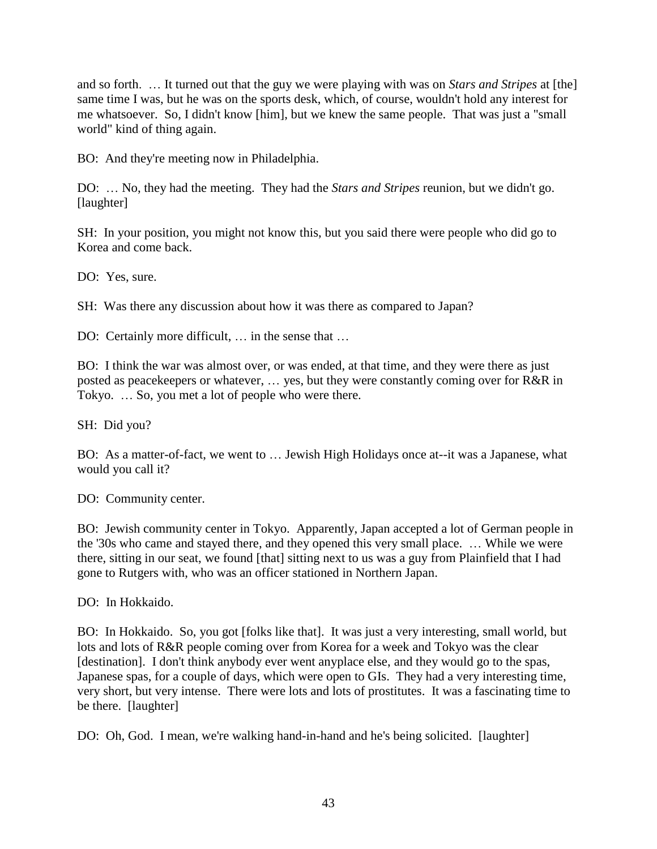and so forth. … It turned out that the guy we were playing with was on *Stars and Stripes* at [the] same time I was, but he was on the sports desk, which, of course, wouldn't hold any interest for me whatsoever. So, I didn't know [him], but we knew the same people. That was just a "small world" kind of thing again.

BO: And they're meeting now in Philadelphia.

DO: … No, they had the meeting. They had the *Stars and Stripes* reunion, but we didn't go. [laughter]

SH: In your position, you might not know this, but you said there were people who did go to Korea and come back.

DO: Yes, sure.

SH: Was there any discussion about how it was there as compared to Japan?

DO: Certainly more difficult, … in the sense that …

BO: I think the war was almost over, or was ended, at that time, and they were there as just posted as peacekeepers or whatever, … yes, but they were constantly coming over for R&R in Tokyo. … So, you met a lot of people who were there.

SH: Did you?

BO: As a matter-of-fact, we went to … Jewish High Holidays once at--it was a Japanese, what would you call it?

DO: Community center.

BO: Jewish community center in Tokyo. Apparently, Japan accepted a lot of German people in the '30s who came and stayed there, and they opened this very small place. … While we were there, sitting in our seat, we found [that] sitting next to us was a guy from Plainfield that I had gone to Rutgers with, who was an officer stationed in Northern Japan.

DO: In Hokkaido.

BO: In Hokkaido. So, you got [folks like that]. It was just a very interesting, small world, but lots and lots of R&R people coming over from Korea for a week and Tokyo was the clear [destination]. I don't think anybody ever went anyplace else, and they would go to the spas, Japanese spas, for a couple of days, which were open to GIs. They had a very interesting time, very short, but very intense. There were lots and lots of prostitutes. It was a fascinating time to be there. [laughter]

DO: Oh, God. I mean, we're walking hand-in-hand and he's being solicited. [laughter]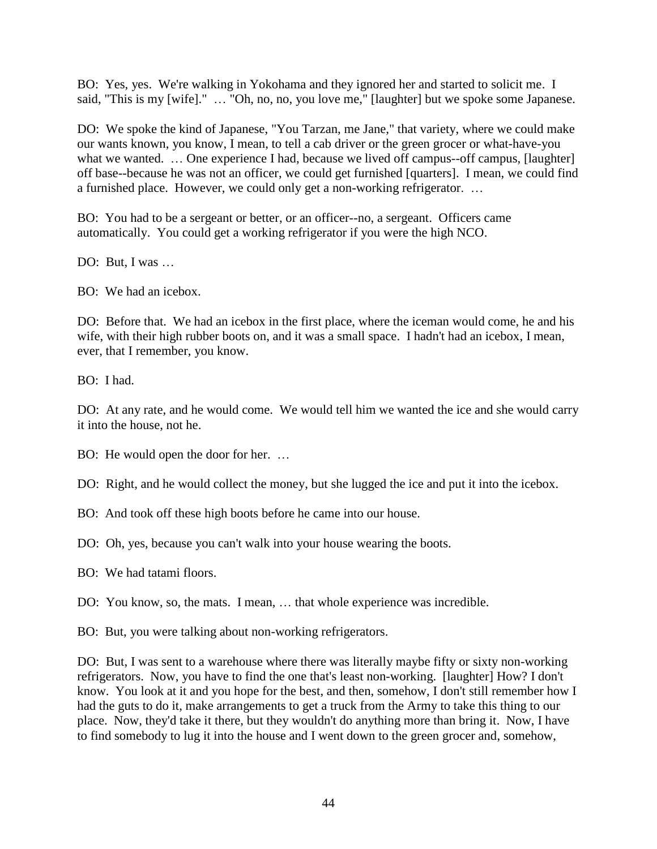BO: Yes, yes. We're walking in Yokohama and they ignored her and started to solicit me. I said, "This is my [wife]." … "Oh, no, no, you love me," [laughter] but we spoke some Japanese.

DO: We spoke the kind of Japanese, "You Tarzan, me Jane," that variety, where we could make our wants known, you know, I mean, to tell a cab driver or the green grocer or what-have-you what we wanted. ... One experience I had, because we lived off campus--off campus, [laughter] off base--because he was not an officer, we could get furnished [quarters]. I mean, we could find a furnished place. However, we could only get a non-working refrigerator. …

BO: You had to be a sergeant or better, or an officer--no, a sergeant. Officers came automatically. You could get a working refrigerator if you were the high NCO.

DO: But, I was ...

BO: We had an icebox.

DO: Before that. We had an icebox in the first place, where the iceman would come, he and his wife, with their high rubber boots on, and it was a small space. I hadn't had an icebox, I mean, ever, that I remember, you know.

BO: I had.

DO: At any rate, and he would come. We would tell him we wanted the ice and she would carry it into the house, not he.

BO: He would open the door for her. …

DO: Right, and he would collect the money, but she lugged the ice and put it into the icebox.

BO: And took off these high boots before he came into our house.

DO: Oh, yes, because you can't walk into your house wearing the boots.

BO: We had tatami floors.

DO: You know, so, the mats. I mean, … that whole experience was incredible.

BO: But, you were talking about non-working refrigerators.

DO: But, I was sent to a warehouse where there was literally maybe fifty or sixty non-working refrigerators. Now, you have to find the one that's least non-working. [laughter] How? I don't know. You look at it and you hope for the best, and then, somehow, I don't still remember how I had the guts to do it, make arrangements to get a truck from the Army to take this thing to our place. Now, they'd take it there, but they wouldn't do anything more than bring it. Now, I have to find somebody to lug it into the house and I went down to the green grocer and, somehow,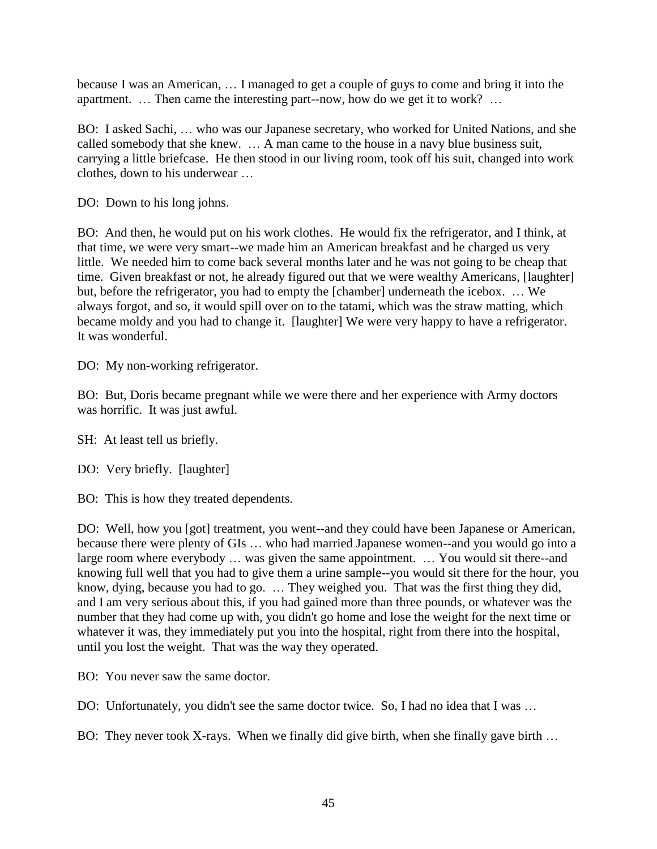because I was an American, … I managed to get a couple of guys to come and bring it into the apartment. … Then came the interesting part--now, how do we get it to work? …

BO: I asked Sachi, … who was our Japanese secretary, who worked for United Nations, and she called somebody that she knew. … A man came to the house in a navy blue business suit, carrying a little briefcase. He then stood in our living room, took off his suit, changed into work clothes, down to his underwear …

DO: Down to his long johns.

BO: And then, he would put on his work clothes. He would fix the refrigerator, and I think, at that time, we were very smart--we made him an American breakfast and he charged us very little. We needed him to come back several months later and he was not going to be cheap that time. Given breakfast or not, he already figured out that we were wealthy Americans, [laughter] but, before the refrigerator, you had to empty the [chamber] underneath the icebox. … We always forgot, and so, it would spill over on to the tatami, which was the straw matting, which became moldy and you had to change it. [laughter] We were very happy to have a refrigerator. It was wonderful.

DO: My non-working refrigerator.

BO: But, Doris became pregnant while we were there and her experience with Army doctors was horrific. It was just awful.

SH: At least tell us briefly.

DO: Very briefly. [laughter]

BO: This is how they treated dependents.

DO: Well, how you [got] treatment, you went--and they could have been Japanese or American, because there were plenty of GIs … who had married Japanese women--and you would go into a large room where everybody … was given the same appointment. … You would sit there--and knowing full well that you had to give them a urine sample--you would sit there for the hour, you know, dying, because you had to go. … They weighed you. That was the first thing they did, and I am very serious about this, if you had gained more than three pounds, or whatever was the number that they had come up with, you didn't go home and lose the weight for the next time or whatever it was, they immediately put you into the hospital, right from there into the hospital, until you lost the weight. That was the way they operated.

BO: You never saw the same doctor.

DO: Unfortunately, you didn't see the same doctor twice. So, I had no idea that I was ...

BO: They never took X-rays. When we finally did give birth, when she finally gave birth ...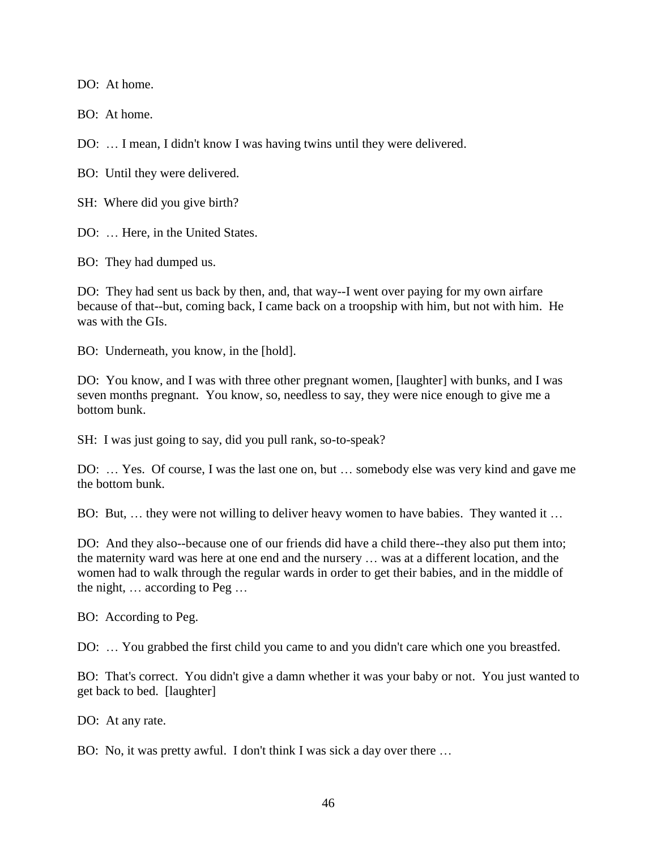DO: At home.

BO: At home.

DO: … I mean, I didn't know I was having twins until they were delivered.

BO: Until they were delivered.

SH: Where did you give birth?

DO: Here, in the United States.

BO: They had dumped us.

DO: They had sent us back by then, and, that way--I went over paying for my own airfare because of that--but, coming back, I came back on a troopship with him, but not with him. He was with the GIs.

BO: Underneath, you know, in the [hold].

DO: You know, and I was with three other pregnant women, [laughter] with bunks, and I was seven months pregnant. You know, so, needless to say, they were nice enough to give me a bottom bunk.

SH: I was just going to say, did you pull rank, so-to-speak?

DO: … Yes. Of course, I was the last one on, but … somebody else was very kind and gave me the bottom bunk.

BO: But, … they were not willing to deliver heavy women to have babies. They wanted it …

DO: And they also--because one of our friends did have a child there--they also put them into; the maternity ward was here at one end and the nursery … was at a different location, and the women had to walk through the regular wards in order to get their babies, and in the middle of the night, … according to Peg …

BO: According to Peg.

DO: … You grabbed the first child you came to and you didn't care which one you breastfed.

BO: That's correct. You didn't give a damn whether it was your baby or not. You just wanted to get back to bed. [laughter]

DO: At any rate.

BO: No, it was pretty awful. I don't think I was sick a day over there …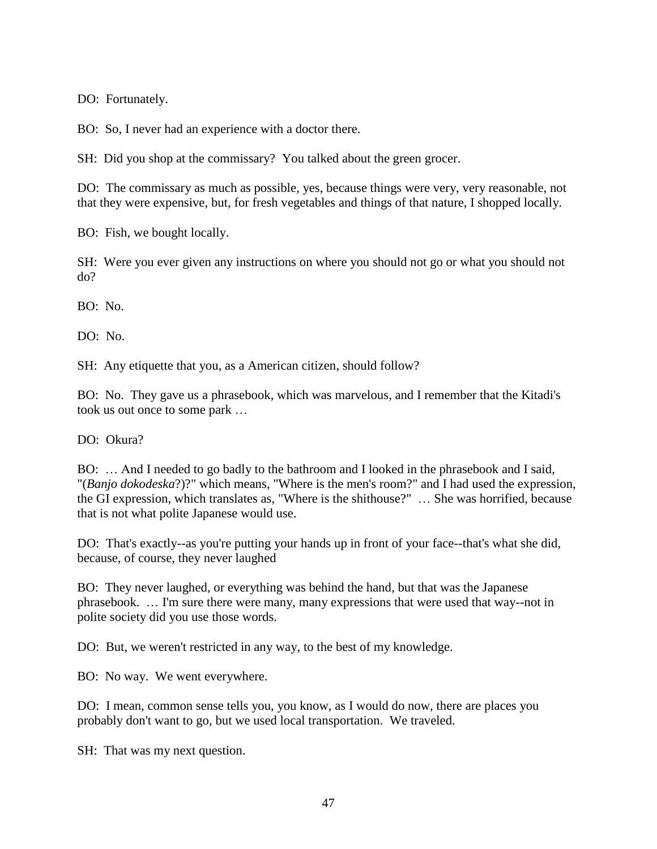DO: Fortunately.

BO: So, I never had an experience with a doctor there.

SH: Did you shop at the commissary? You talked about the green grocer.

DO: The commissary as much as possible, yes, because things were very, very reasonable, not that they were expensive, but, for fresh vegetables and things of that nature, I shopped locally.

BO: Fish, we bought locally.

SH: Were you ever given any instructions on where you should not go or what you should not do?

BO: No.

DO: No.

SH: Any etiquette that you, as a American citizen, should follow?

BO: No. They gave us a phrasebook, which was marvelous, and I remember that the Kitadi's took us out once to some park …

DO: Okura?

BO: … And I needed to go badly to the bathroom and I looked in the phrasebook and I said, "(*Banjo dokodeska*?)?" which means, "Where is the men's room?" and I had used the expression, the GI expression, which translates as, "Where is the shithouse?" … She was horrified, because that is not what polite Japanese would use.

DO: That's exactly--as you're putting your hands up in front of your face--that's what she did, because, of course, they never laughed

BO: They never laughed, or everything was behind the hand, but that was the Japanese phrasebook. … I'm sure there were many, many expressions that were used that way--not in polite society did you use those words.

DO: But, we weren't restricted in any way, to the best of my knowledge.

BO: No way. We went everywhere.

DO: I mean, common sense tells you, you know, as I would do now, there are places you probably don't want to go, but we used local transportation. We traveled.

SH: That was my next question.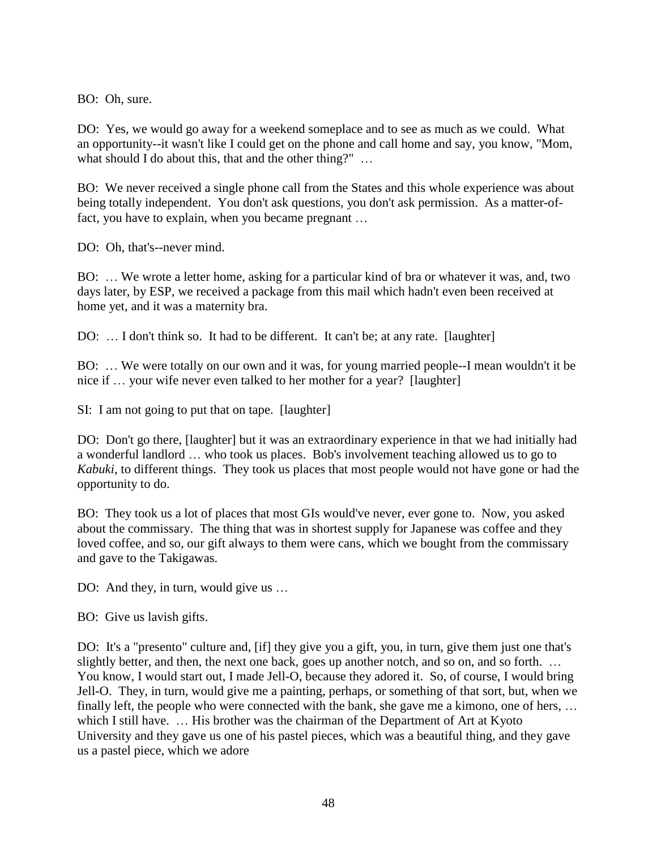BO: Oh, sure.

DO: Yes, we would go away for a weekend someplace and to see as much as we could. What an opportunity--it wasn't like I could get on the phone and call home and say, you know, "Mom, what should I do about this, that and the other thing?" ...

BO: We never received a single phone call from the States and this whole experience was about being totally independent. You don't ask questions, you don't ask permission. As a matter-offact, you have to explain, when you became pregnant …

DO: Oh, that's--never mind.

BO: … We wrote a letter home, asking for a particular kind of bra or whatever it was, and, two days later, by ESP, we received a package from this mail which hadn't even been received at home yet, and it was a maternity bra.

DO: ... I don't think so. It had to be different. It can't be; at any rate. [laughter]

BO: … We were totally on our own and it was, for young married people--I mean wouldn't it be nice if … your wife never even talked to her mother for a year? [laughter]

SI: I am not going to put that on tape. [laughter]

DO: Don't go there, [laughter] but it was an extraordinary experience in that we had initially had a wonderful landlord … who took us places. Bob's involvement teaching allowed us to go to *Kabuki*, to different things. They took us places that most people would not have gone or had the opportunity to do.

BO: They took us a lot of places that most GIs would've never, ever gone to. Now, you asked about the commissary. The thing that was in shortest supply for Japanese was coffee and they loved coffee, and so, our gift always to them were cans, which we bought from the commissary and gave to the Takigawas.

DO: And they, in turn, would give us ...

BO: Give us lavish gifts.

DO: It's a "presento" culture and, [if] they give you a gift, you, in turn, give them just one that's slightly better, and then, the next one back, goes up another notch, and so on, and so forth. … You know, I would start out, I made Jell-O, because they adored it. So, of course, I would bring Jell-O. They, in turn, would give me a painting, perhaps, or something of that sort, but, when we finally left, the people who were connected with the bank, she gave me a kimono, one of hers, … which I still have. ... His brother was the chairman of the Department of Art at Kyoto University and they gave us one of his pastel pieces, which was a beautiful thing, and they gave us a pastel piece, which we adore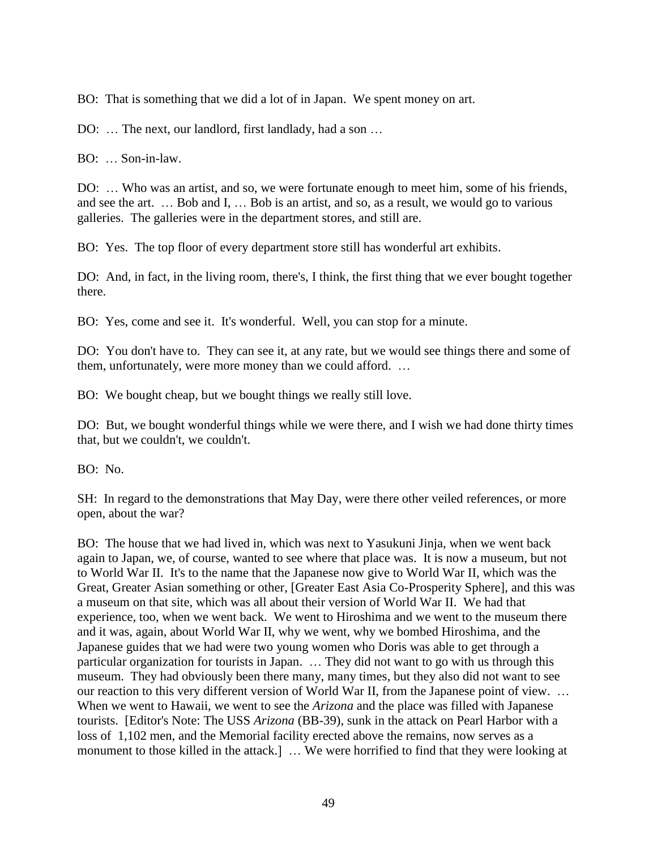BO: That is something that we did a lot of in Japan. We spent money on art.

DO: ... The next, our landlord, first landlady, had a son ...

BO: … Son-in-law.

DO: … Who was an artist, and so, we were fortunate enough to meet him, some of his friends, and see the art. … Bob and I, … Bob is an artist, and so, as a result, we would go to various galleries. The galleries were in the department stores, and still are.

BO: Yes. The top floor of every department store still has wonderful art exhibits.

DO: And, in fact, in the living room, there's, I think, the first thing that we ever bought together there.

BO: Yes, come and see it. It's wonderful. Well, you can stop for a minute.

DO: You don't have to. They can see it, at any rate, but we would see things there and some of them, unfortunately, were more money than we could afford. …

BO: We bought cheap, but we bought things we really still love.

DO: But, we bought wonderful things while we were there, and I wish we had done thirty times that, but we couldn't, we couldn't.

BO: No.

SH: In regard to the demonstrations that May Day, were there other veiled references, or more open, about the war?

BO: The house that we had lived in, which was next to Yasukuni Jinja, when we went back again to Japan, we, of course, wanted to see where that place was. It is now a museum, but not to World War II. It's to the name that the Japanese now give to World War II, which was the Great, Greater Asian something or other, [Greater East Asia Co-Prosperity Sphere], and this was a museum on that site, which was all about their version of World War II. We had that experience, too, when we went back. We went to Hiroshima and we went to the museum there and it was, again, about World War II, why we went, why we bombed Hiroshima, and the Japanese guides that we had were two young women who Doris was able to get through a particular organization for tourists in Japan. … They did not want to go with us through this museum. They had obviously been there many, many times, but they also did not want to see our reaction to this very different version of World War II, from the Japanese point of view. … When we went to Hawaii, we went to see the *Arizona* and the place was filled with Japanese tourists. [Editor's Note: The USS *Arizona* (BB-39), sunk in the attack on Pearl Harbor with a loss of 1,102 men, and the Memorial facility erected above the remains, now serves as a monument to those killed in the attack.] … We were horrified to find that they were looking at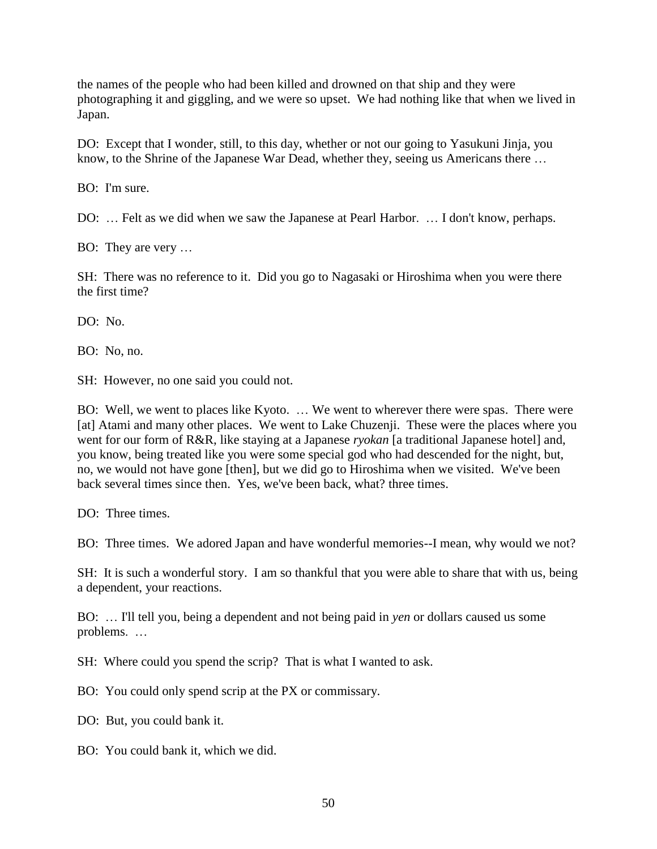the names of the people who had been killed and drowned on that ship and they were photographing it and giggling, and we were so upset. We had nothing like that when we lived in Japan.

DO: Except that I wonder, still, to this day, whether or not our going to Yasukuni Jinja, you know, to the Shrine of the Japanese War Dead, whether they, seeing us Americans there …

BO: I'm sure.

DO: … Felt as we did when we saw the Japanese at Pearl Harbor. … I don't know, perhaps.

BO: They are very …

SH: There was no reference to it. Did you go to Nagasaki or Hiroshima when you were there the first time?

DO: No.

BO: No, no.

SH: However, no one said you could not.

BO: Well, we went to places like Kyoto. … We went to wherever there were spas. There were [at] Atami and many other places. We went to Lake Chuzenji. These were the places where you went for our form of R&R, like staying at a Japanese *ryokan* [a traditional Japanese hotel] and, you know, being treated like you were some special god who had descended for the night, but, no, we would not have gone [then], but we did go to Hiroshima when we visited. We've been back several times since then. Yes, we've been back, what? three times.

DO: Three times.

BO: Three times. We adored Japan and have wonderful memories--I mean, why would we not?

SH: It is such a wonderful story. I am so thankful that you were able to share that with us, being a dependent, your reactions.

BO: … I'll tell you, being a dependent and not being paid in *yen* or dollars caused us some problems. …

SH: Where could you spend the scrip? That is what I wanted to ask.

BO: You could only spend scrip at the PX or commissary.

DO: But, you could bank it.

BO: You could bank it, which we did.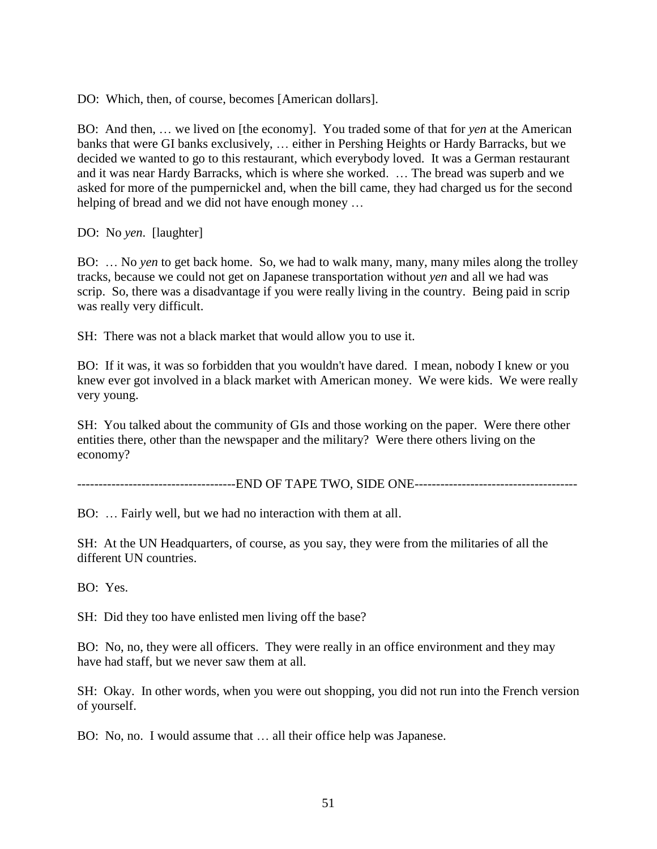DO: Which, then, of course, becomes [American dollars].

BO: And then, … we lived on [the economy]. You traded some of that for *yen* at the American banks that were GI banks exclusively, … either in Pershing Heights or Hardy Barracks, but we decided we wanted to go to this restaurant, which everybody loved. It was a German restaurant and it was near Hardy Barracks, which is where she worked. … The bread was superb and we asked for more of the pumpernickel and, when the bill came, they had charged us for the second helping of bread and we did not have enough money …

DO: No *yen*. [laughter]

BO: … No *yen* to get back home. So, we had to walk many, many, many miles along the trolley tracks, because we could not get on Japanese transportation without *yen* and all we had was scrip. So, there was a disadvantage if you were really living in the country. Being paid in scrip was really very difficult.

SH: There was not a black market that would allow you to use it.

BO: If it was, it was so forbidden that you wouldn't have dared. I mean, nobody I knew or you knew ever got involved in a black market with American money. We were kids. We were really very young.

SH: You talked about the community of GIs and those working on the paper. Were there other entities there, other than the newspaper and the military? Were there others living on the economy?

--------------------------END OF TAPE TWO, SIDE ONE-------------------------

BO: … Fairly well, but we had no interaction with them at all.

SH: At the UN Headquarters, of course, as you say, they were from the militaries of all the different UN countries.

BO: Yes.

SH: Did they too have enlisted men living off the base?

BO: No, no, they were all officers. They were really in an office environment and they may have had staff, but we never saw them at all.

SH: Okay. In other words, when you were out shopping, you did not run into the French version of yourself.

BO: No, no. I would assume that … all their office help was Japanese.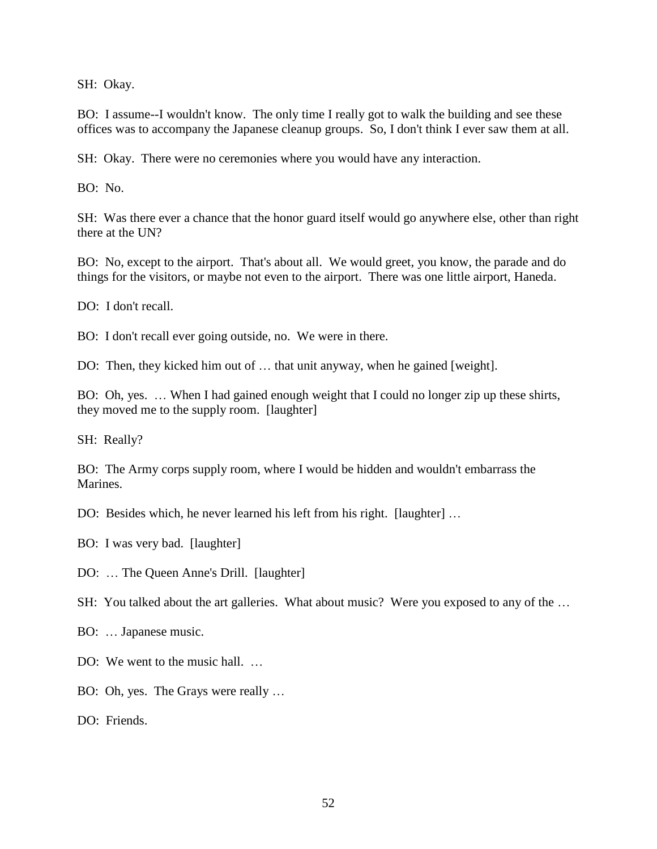SH: Okay.

BO: I assume--I wouldn't know. The only time I really got to walk the building and see these offices was to accompany the Japanese cleanup groups. So, I don't think I ever saw them at all.

SH: Okay. There were no ceremonies where you would have any interaction.

BO: No.

SH: Was there ever a chance that the honor guard itself would go anywhere else, other than right there at the UN?

BO: No, except to the airport. That's about all. We would greet, you know, the parade and do things for the visitors, or maybe not even to the airport. There was one little airport, Haneda.

DO: I don't recall.

BO: I don't recall ever going outside, no. We were in there.

DO: Then, they kicked him out of … that unit anyway, when he gained [weight].

BO: Oh, yes. … When I had gained enough weight that I could no longer zip up these shirts, they moved me to the supply room. [laughter]

SH: Really?

BO: The Army corps supply room, where I would be hidden and wouldn't embarrass the Marines.

DO: Besides which, he never learned his left from his right. [laughter] …

BO: I was very bad. [laughter]

DO: … The Queen Anne's Drill. [laughter]

SH: You talked about the art galleries. What about music? Were you exposed to any of the …

BO: … Japanese music.

DO: We went to the music hall. ...

BO: Oh, yes. The Grays were really …

DO: Friends.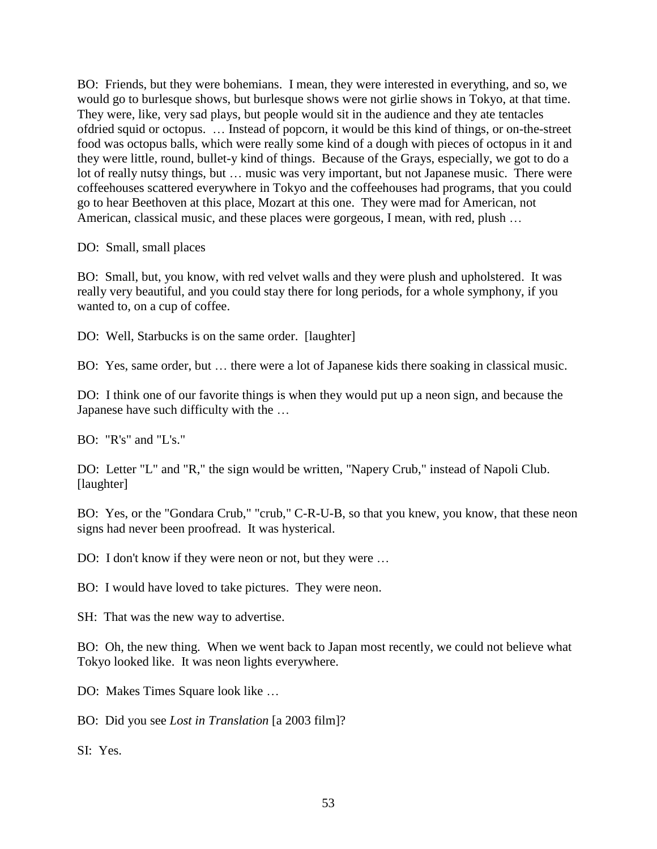BO: Friends, but they were bohemians. I mean, they were interested in everything, and so, we would go to burlesque shows, but burlesque shows were not girlie shows in Tokyo, at that time. They were, like, very sad plays, but people would sit in the audience and they ate tentacles ofdried squid or octopus. … Instead of popcorn, it would be this kind of things, or on-the-street food was octopus balls, which were really some kind of a dough with pieces of octopus in it and they were little, round, bullet-y kind of things. Because of the Grays, especially, we got to do a lot of really nutsy things, but … music was very important, but not Japanese music. There were coffeehouses scattered everywhere in Tokyo and the coffeehouses had programs, that you could go to hear Beethoven at this place, Mozart at this one. They were mad for American, not American, classical music, and these places were gorgeous, I mean, with red, plush …

DO: Small, small places

BO: Small, but, you know, with red velvet walls and they were plush and upholstered. It was really very beautiful, and you could stay there for long periods, for a whole symphony, if you wanted to, on a cup of coffee.

DO: Well, Starbucks is on the same order. [laughter]

BO: Yes, same order, but … there were a lot of Japanese kids there soaking in classical music.

DO: I think one of our favorite things is when they would put up a neon sign, and because the Japanese have such difficulty with the …

BO: "R's" and "L's."

DO: Letter "L" and "R," the sign would be written, "Napery Crub," instead of Napoli Club. [laughter]

BO: Yes, or the "Gondara Crub," "crub," C-R-U-B, so that you knew, you know, that these neon signs had never been proofread. It was hysterical.

DO: I don't know if they were neon or not, but they were ...

BO: I would have loved to take pictures. They were neon.

SH: That was the new way to advertise.

BO: Oh, the new thing. When we went back to Japan most recently, we could not believe what Tokyo looked like. It was neon lights everywhere.

DO: Makes Times Square look like …

BO: Did you see *Lost in Translation* [a 2003 film]?

SI: Yes.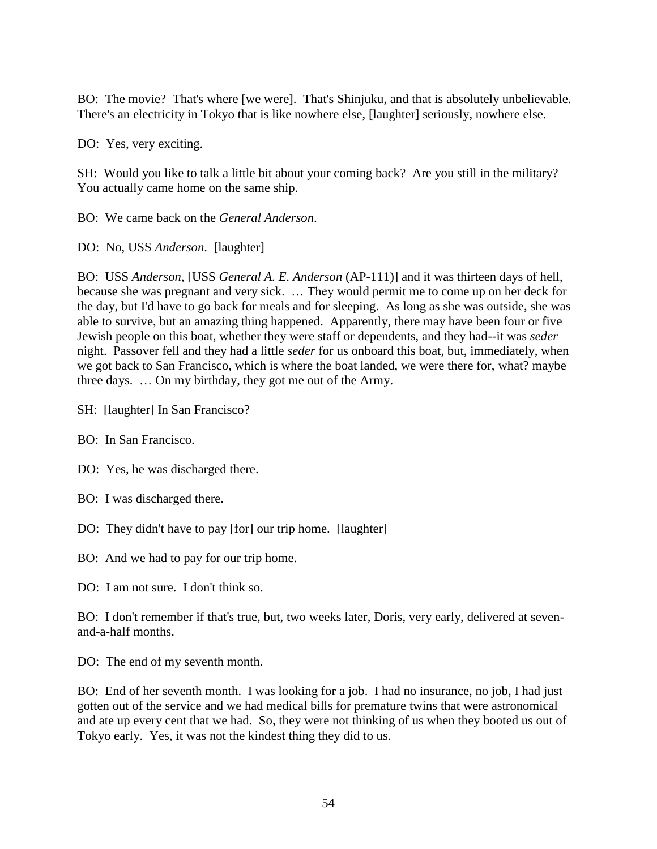BO: The movie? That's where [we were]. That's Shinjuku, and that is absolutely unbelievable. There's an electricity in Tokyo that is like nowhere else, [laughter] seriously, nowhere else.

DO: Yes, very exciting.

SH: Would you like to talk a little bit about your coming back? Are you still in the military? You actually came home on the same ship.

BO: We came back on the *General Anderson*.

DO: No, USS *Anderson*. [laughter]

BO: USS *Anderson*, [USS *General A. E. Anderson* (AP-111)] and it was thirteen days of hell, because she was pregnant and very sick. … They would permit me to come up on her deck for the day, but I'd have to go back for meals and for sleeping. As long as she was outside, she was able to survive, but an amazing thing happened. Apparently, there may have been four or five Jewish people on this boat, whether they were staff or dependents, and they had--it was *seder* night. Passover fell and they had a little *seder* for us onboard this boat, but, immediately, when we got back to San Francisco, which is where the boat landed, we were there for, what? maybe three days. … On my birthday, they got me out of the Army.

SH: [laughter] In San Francisco?

BO: In San Francisco.

DO: Yes, he was discharged there.

- BO: I was discharged there.
- DO: They didn't have to pay [for] our trip home. [laughter]

BO: And we had to pay for our trip home.

DO: I am not sure. I don't think so.

BO: I don't remember if that's true, but, two weeks later, Doris, very early, delivered at sevenand-a-half months.

DO: The end of my seventh month.

BO: End of her seventh month. I was looking for a job. I had no insurance, no job, I had just gotten out of the service and we had medical bills for premature twins that were astronomical and ate up every cent that we had. So, they were not thinking of us when they booted us out of Tokyo early. Yes, it was not the kindest thing they did to us.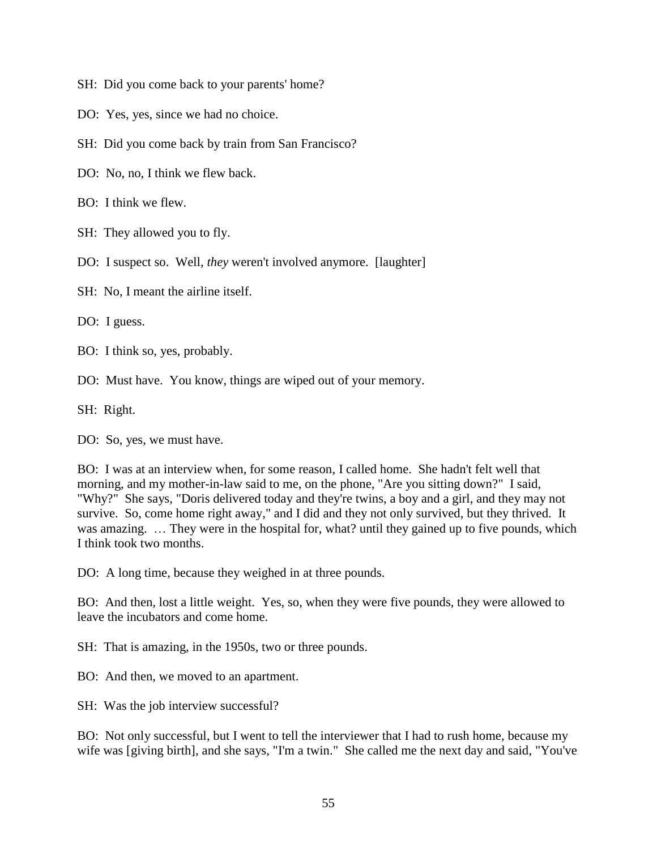- SH: Did you come back to your parents' home?
- DO: Yes, yes, since we had no choice.
- SH: Did you come back by train from San Francisco?
- DO: No, no, I think we flew back.
- BO: I think we flew.
- SH: They allowed you to fly.
- DO: I suspect so. Well, *they* weren't involved anymore. [laughter]
- SH: No, I meant the airline itself.

DO: I guess.

- BO: I think so, yes, probably.
- DO: Must have. You know, things are wiped out of your memory.

SH: Right.

DO: So, yes, we must have.

BO: I was at an interview when, for some reason, I called home. She hadn't felt well that morning, and my mother-in-law said to me, on the phone, "Are you sitting down?" I said, "Why?" She says, "Doris delivered today and they're twins, a boy and a girl, and they may not survive. So, come home right away," and I did and they not only survived, but they thrived. It was amazing. ... They were in the hospital for, what? until they gained up to five pounds, which I think took two months.

DO: A long time, because they weighed in at three pounds.

BO: And then, lost a little weight. Yes, so, when they were five pounds, they were allowed to leave the incubators and come home.

SH: That is amazing, in the 1950s, two or three pounds.

BO: And then, we moved to an apartment.

SH: Was the job interview successful?

BO: Not only successful, but I went to tell the interviewer that I had to rush home, because my wife was [giving birth], and she says, "I'm a twin." She called me the next day and said, "You've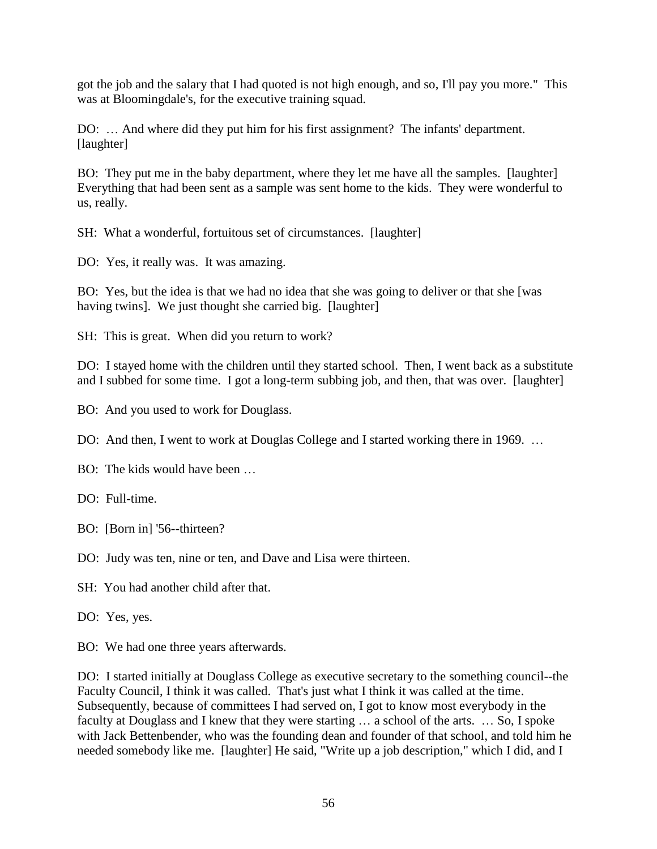got the job and the salary that I had quoted is not high enough, and so, I'll pay you more." This was at Bloomingdale's, for the executive training squad.

DO: … And where did they put him for his first assignment? The infants' department. [laughter]

BO: They put me in the baby department, where they let me have all the samples. [laughter] Everything that had been sent as a sample was sent home to the kids. They were wonderful to us, really.

SH: What a wonderful, fortuitous set of circumstances. [laughter]

DO: Yes, it really was. It was amazing.

BO: Yes, but the idea is that we had no idea that she was going to deliver or that she [was having twins]. We just thought she carried big. [laughter]

SH: This is great. When did you return to work?

DO: I stayed home with the children until they started school. Then, I went back as a substitute and I subbed for some time. I got a long-term subbing job, and then, that was over. [laughter]

BO: And you used to work for Douglass.

DO: And then, I went to work at Douglas College and I started working there in 1969. ...

BO: The kids would have been …

DO: Full-time.

BO: [Born in] '56--thirteen?

DO: Judy was ten, nine or ten, and Dave and Lisa were thirteen.

SH: You had another child after that.

DO: Yes, yes.

BO: We had one three years afterwards.

DO: I started initially at Douglass College as executive secretary to the something council--the Faculty Council, I think it was called. That's just what I think it was called at the time. Subsequently, because of committees I had served on, I got to know most everybody in the faculty at Douglass and I knew that they were starting … a school of the arts. … So, I spoke with Jack Bettenbender, who was the founding dean and founder of that school, and told him he needed somebody like me. [laughter] He said, "Write up a job description," which I did, and I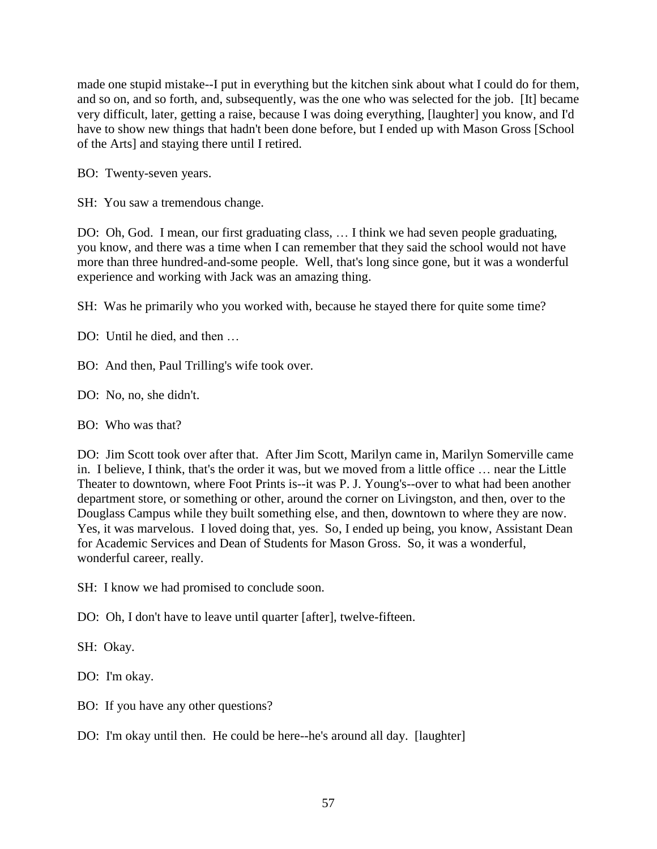made one stupid mistake--I put in everything but the kitchen sink about what I could do for them, and so on, and so forth, and, subsequently, was the one who was selected for the job. [It] became very difficult, later, getting a raise, because I was doing everything, [laughter] you know, and I'd have to show new things that hadn't been done before, but I ended up with Mason Gross [School of the Arts] and staying there until I retired.

- BO: Twenty-seven years.
- SH: You saw a tremendous change.

DO: Oh, God. I mean, our first graduating class, … I think we had seven people graduating, you know, and there was a time when I can remember that they said the school would not have more than three hundred-and-some people. Well, that's long since gone, but it was a wonderful experience and working with Jack was an amazing thing.

SH: Was he primarily who you worked with, because he stayed there for quite some time?

- DO: Until he died, and then …
- BO: And then, Paul Trilling's wife took over.
- DO: No, no, she didn't.
- BO: Who was that?

DO: Jim Scott took over after that. After Jim Scott, Marilyn came in, Marilyn Somerville came in. I believe, I think, that's the order it was, but we moved from a little office … near the Little Theater to downtown, where Foot Prints is--it was P. J. Young's--over to what had been another department store, or something or other, around the corner on Livingston, and then, over to the Douglass Campus while they built something else, and then, downtown to where they are now. Yes, it was marvelous. I loved doing that, yes. So, I ended up being, you know, Assistant Dean for Academic Services and Dean of Students for Mason Gross. So, it was a wonderful, wonderful career, really.

SH: I know we had promised to conclude soon.

DO: Oh, I don't have to leave until quarter [after], twelve-fifteen.

SH: Okay.

DO: I'm okay.

- BO: If you have any other questions?
- DO: I'm okay until then. He could be here--he's around all day. [laughter]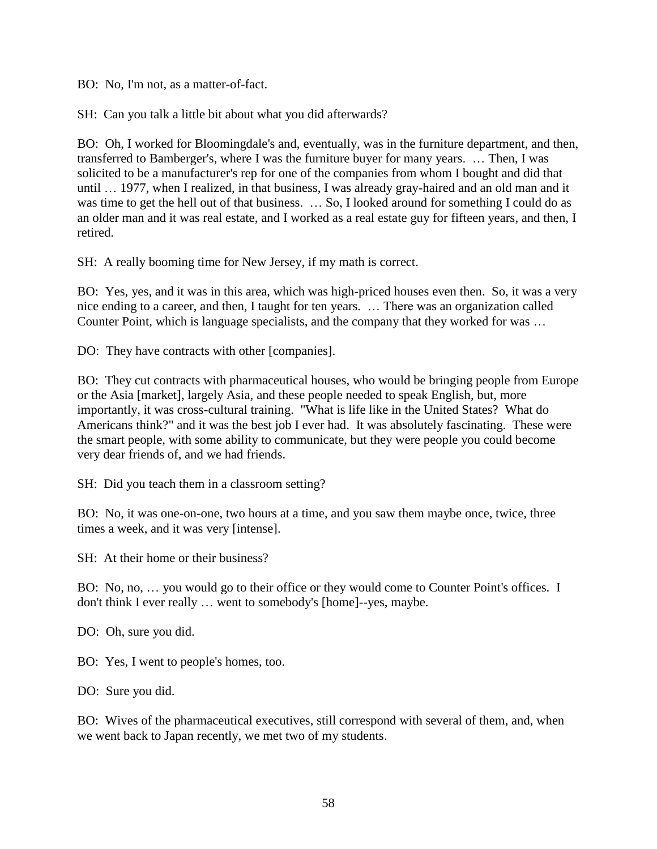BO: No, I'm not, as a matter-of-fact.

SH: Can you talk a little bit about what you did afterwards?

BO: Oh, I worked for Bloomingdale's and, eventually, was in the furniture department, and then, transferred to Bamberger's, where I was the furniture buyer for many years. … Then, I was solicited to be a manufacturer's rep for one of the companies from whom I bought and did that until … 1977, when I realized, in that business, I was already gray-haired and an old man and it was time to get the hell out of that business. … So, I looked around for something I could do as an older man and it was real estate, and I worked as a real estate guy for fifteen years, and then, I retired.

SH: A really booming time for New Jersey, if my math is correct.

BO: Yes, yes, and it was in this area, which was high-priced houses even then. So, it was a very nice ending to a career, and then, I taught for ten years. … There was an organization called Counter Point, which is language specialists, and the company that they worked for was …

DO: They have contracts with other [companies].

BO: They cut contracts with pharmaceutical houses, who would be bringing people from Europe or the Asia [market], largely Asia, and these people needed to speak English, but, more importantly, it was cross-cultural training. "What is life like in the United States? What do Americans think?" and it was the best job I ever had. It was absolutely fascinating. These were the smart people, with some ability to communicate, but they were people you could become very dear friends of, and we had friends.

SH: Did you teach them in a classroom setting?

BO: No, it was one-on-one, two hours at a time, and you saw them maybe once, twice, three times a week, and it was very [intense].

SH: At their home or their business?

BO: No, no, … you would go to their office or they would come to Counter Point's offices. I don't think I ever really … went to somebody's [home]--yes, maybe.

DO: Oh, sure you did.

BO: Yes, I went to people's homes, too.

DO: Sure you did.

BO: Wives of the pharmaceutical executives, still correspond with several of them, and, when we went back to Japan recently, we met two of my students.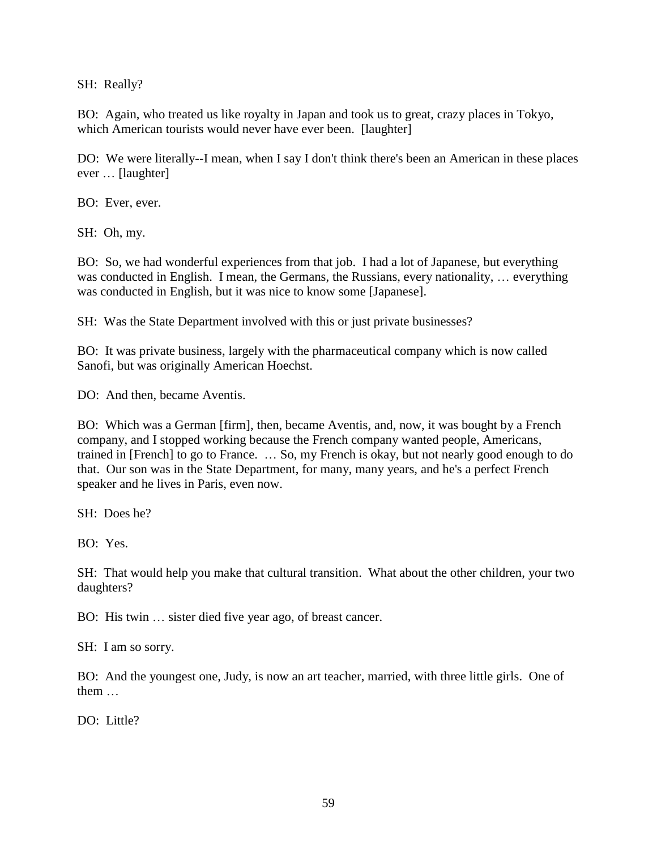SH: Really?

BO: Again, who treated us like royalty in Japan and took us to great, crazy places in Tokyo, which American tourists would never have ever been. [laughter]

DO: We were literally--I mean, when I say I don't think there's been an American in these places ever … [laughter]

BO: Ever, ever.

SH: Oh, my.

BO: So, we had wonderful experiences from that job. I had a lot of Japanese, but everything was conducted in English. I mean, the Germans, the Russians, every nationality, … everything was conducted in English, but it was nice to know some [Japanese].

SH: Was the State Department involved with this or just private businesses?

BO: It was private business, largely with the pharmaceutical company which is now called Sanofi, but was originally American Hoechst.

DO: And then, became Aventis.

BO: Which was a German [firm], then, became Aventis, and, now, it was bought by a French company, and I stopped working because the French company wanted people, Americans, trained in [French] to go to France. … So, my French is okay, but not nearly good enough to do that. Our son was in the State Department, for many, many years, and he's a perfect French speaker and he lives in Paris, even now.

SH: Does he?

BO: Yes.

SH: That would help you make that cultural transition. What about the other children, your two daughters?

BO: His twin … sister died five year ago, of breast cancer.

SH: I am so sorry.

BO: And the youngest one, Judy, is now an art teacher, married, with three little girls. One of them …

DO: Little?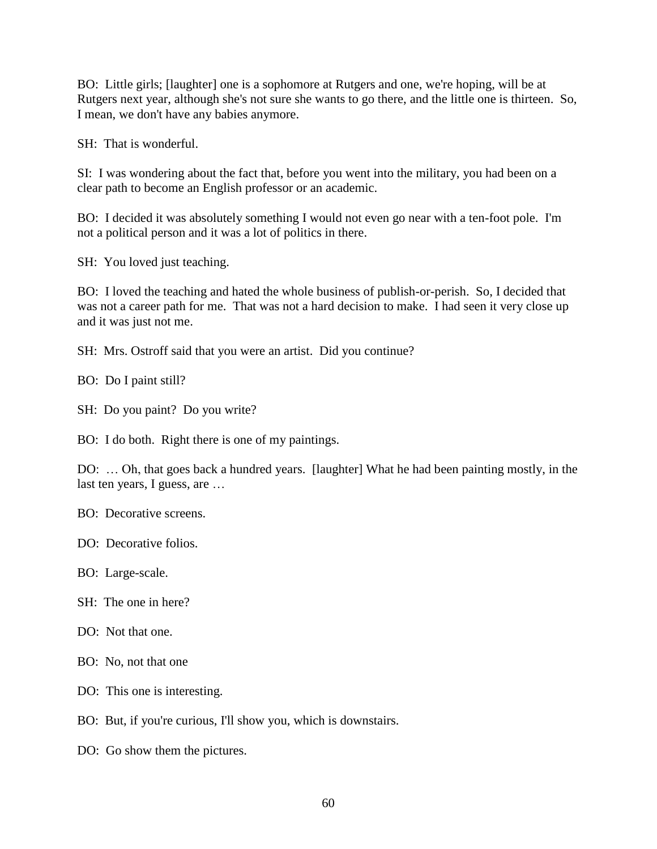BO: Little girls; [laughter] one is a sophomore at Rutgers and one, we're hoping, will be at Rutgers next year, although she's not sure she wants to go there, and the little one is thirteen. So, I mean, we don't have any babies anymore.

SH: That is wonderful.

SI: I was wondering about the fact that, before you went into the military, you had been on a clear path to become an English professor or an academic.

BO: I decided it was absolutely something I would not even go near with a ten-foot pole. I'm not a political person and it was a lot of politics in there.

SH: You loved just teaching.

BO: I loved the teaching and hated the whole business of publish-or-perish. So, I decided that was not a career path for me. That was not a hard decision to make. I had seen it very close up and it was just not me.

SH: Mrs. Ostroff said that you were an artist. Did you continue?

BO: Do I paint still?

SH: Do you paint? Do you write?

BO: I do both. Right there is one of my paintings.

DO: … Oh, that goes back a hundred years. [laughter] What he had been painting mostly, in the last ten years, I guess, are …

BO: Decorative screens.

DO: Decorative folios.

BO: Large-scale.

SH: The one in here?

DO: Not that one.

BO: No, not that one

DO: This one is interesting.

BO: But, if you're curious, I'll show you, which is downstairs.

DO: Go show them the pictures.